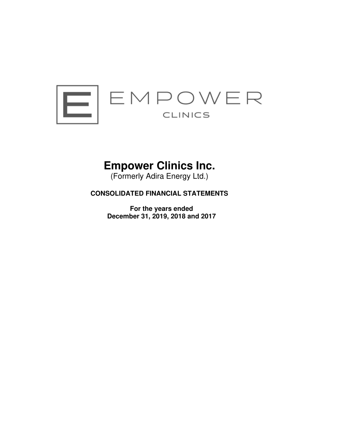

# **Empower Clinics Inc.**

(Formerly Adira Energy Ltd.)

## **CONSOLIDATED FINANCIAL STATEMENTS**

**For the years ended December 31, 2019, 2018 and 2017**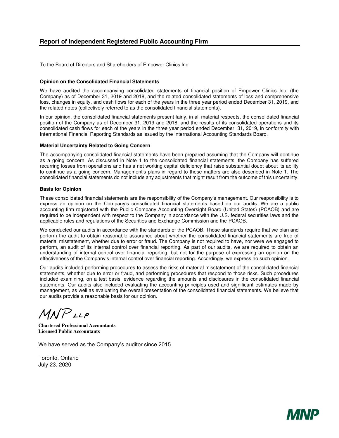To the Board of Directors and Shareholders of Empower Clinics Inc.

#### **Opinion on the Consolidated Financial Statements**

We have audited the accompanying consolidated statements of financial position of Empower Clinics Inc. (the Company) as of December 31, 2019 and 2018, and the related consolidated statements of loss and comprehensive loss, changes in equity, and cash flows for each of the years in the three year period ended December 31, 2019, and the related notes (collectively referred to as the consolidated financial statements).

In our opinion, the consolidated financial statements present fairly, in all material respects, the consolidated financial position of the Company as of December 31, 2019 and 2018, and the results of its consolidated operations and its consolidated cash flows for each of the years in the three year period ended December 31, 2019, in conformity with International Financial Reporting Standards as issued by the International Accounting Standards Board.

#### **Material Uncertainty Related to Going Concern**

The accompanying consolidated financial statements have been prepared assuming that the Company will continue as a going concern. As discussed in Note 1 to the consolidated financial statements, the Company has suffered recurring losses from operations and has a net working capital deficiency that raise substantial doubt about its ability to continue as a going concern. Management's plans in regard to these matters are also described in Note 1. The consolidated financial statements do not include any adjustments that might result from the outcome of this uncertainty.

#### **Basis for Opinion**

These consolidated financial statements are the responsibility of the Company's management. Our responsibility is to express an opinion on the Company's consolidated financial statements based on our audits. We are a public accounting firm registered with the Public Company Accounting Oversight Board (United States) (PCAOB) and are required to be independent with respect to the Company in accordance with the U.S. federal securities laws and the applicable rules and regulations of the Securities and Exchange Commission and the PCAOB.

We conducted our audits in accordance with the standards of the PCAOB. Those standards require that we plan and perform the audit to obtain reasonable assurance about whether the consolidated financial statements are free of material misstatement, whether due to error or fraud. The Company is not required to have, nor were we engaged to perform, an audit of its internal control over financial reporting. As part of our audits, we are required to obtain an understanding of internal control over financial reporting, but not for the purpose of expressing an opinion on the effectiveness of the Company's internal control over financial reporting. Accordingly, we express no such opinion.

Our audits included performing procedures to assess the risks of material misstatement of the consolidated financial statements, whether due to error or fraud, and performing procedures that respond to those risks. Such procedures included examining, on a test basis, evidence regarding the amounts and disclosures in the consolidated financial statements. Our audits also included evaluating the accounting principles used and significant estimates made by management, as well as evaluating the overall presentation of the consolidated financial statements. We believe that our audits provide a reasonable basis for our opinion.

 $M N P$ LLP

**Chartered Professional Accountants Licensed Public Accountants** 

We have served as the Company's auditor since 2015.

Toronto, Ontario July 23, 2020

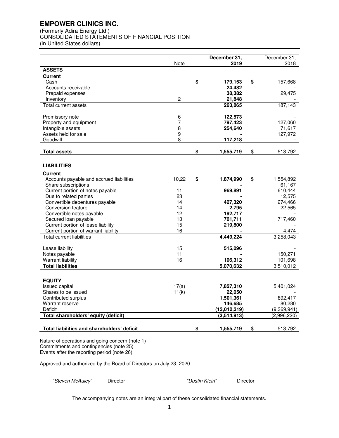(Formerly Adira Energy Ltd.)

CONSOLIDATED STATEMENTS OF FINANCIAL POSITION

(in United States dollars)

|                                                         | <b>Note</b>    | December 31,<br>2019 | December 31,<br>2018 |
|---------------------------------------------------------|----------------|----------------------|----------------------|
| <b>ASSETS</b>                                           |                |                      |                      |
| <b>Current</b>                                          |                |                      |                      |
| Cash                                                    |                | \$<br>179,153        | \$<br>157,668        |
| Accounts receivable                                     |                | 24,482               |                      |
| Prepaid expenses<br>Inventory                           | $\overline{c}$ | 38,382<br>21,848     | 29,475               |
| Total current assets                                    |                | 263,865              | 187,143              |
|                                                         |                |                      |                      |
| Promissory note                                         | 6              | 122,573              |                      |
| Property and equipment                                  | 7              | 797,423              | 127,060              |
| Intangible assets                                       | 8              | 254,640              | 71,617               |
| Assets held for sale<br>Goodwill                        | 9<br>8         |                      | 127,972              |
|                                                         |                | 117,218              |                      |
| <b>Total assets</b>                                     |                | \$<br>1,555,719      | \$<br>513,792        |
|                                                         |                |                      |                      |
| <b>LIABILITIES</b>                                      |                |                      |                      |
| <b>Current</b>                                          |                |                      |                      |
| Accounts payable and accrued liabilities                | 10,22          | \$<br>1,874,990      | \$<br>1,554,892      |
| Share subscriptions<br>Current portion of notes payable | 11             | 969,891              | 61,167<br>610,444    |
| Due to related parties                                  | 23             |                      | 12,575               |
| Convertible debentures payable                          | 14             | 427,320              | 274,466              |
| Conversion feature                                      | 14             | 2,795                | 22,565               |
| Convertible notes payable                               | 12             | 192,717              |                      |
| Secured loan payable                                    | 13             | 761,711              | 717,460              |
| Current portion of lease liability                      | 15             | 219,800              |                      |
| Current portion of warrant liability                    | 16             |                      | 4,474                |
| Total current liabilities                               |                | 4,449,224            | 3,258,043            |
| Lease liability                                         | 15             | 515,096              |                      |
| Notes payable                                           | 11             |                      | 150,271              |
| <b>Warrant liability</b>                                | 16             | 106,312              | 101,698              |
| <b>Total liabilities</b>                                |                | 5,070,632            | 3,510,012            |
|                                                         |                |                      |                      |
| <b>EQUITY</b>                                           |                |                      |                      |
| <b>Issued capital</b>                                   | 17(a)          | 7,827,310            | 5,401,024            |
| Shares to be issued                                     | 11(k)          | 22,050               |                      |
| Contributed surplus<br>Warrant reserve                  |                | 1,501,361<br>146,685 | 892,417<br>80,280    |
| Deficit                                                 |                | (13,012,319)         | (9,369,941)          |
| Total shareholders' equity (deficit)                    |                | (3,514,913)          | (2,996,220)          |
|                                                         |                |                      |                      |
| Total liabilities and shareholders' deficit             |                | \$<br>1,555,719      | \$<br>513,792        |
|                                                         |                |                      |                      |

Nature of operations and going concern (note 1) Commitments and contingencies (note 25) Events after the reporting period (note 26)

Approved and authorized by the Board of Directors on July 23, 2020:

*"Steven McAuley"* Director *"Dustin Klein"* Director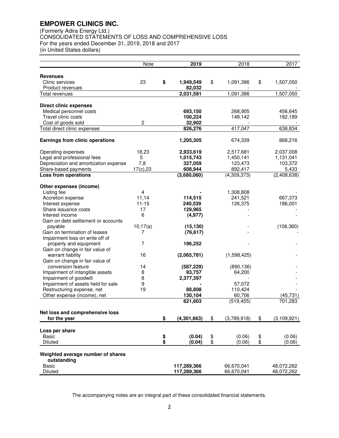(Formerly Adira Energy Ltd.) CONSOLIDATED STATEMENTS OF LOSS AND COMPREHENSIVE LOSS For the years ended December 31, 2019, 2018 and 2017 (in United States dollars)

|                                          | Note            |          | 2019               | 2018              | 2017                |
|------------------------------------------|-----------------|----------|--------------------|-------------------|---------------------|
| <b>Revenues</b>                          |                 |          |                    |                   |                     |
| Clinic services                          | 23              | \$       | 1,949,549          | \$<br>1,091,386   | \$<br>1,507,050     |
| Product revenues                         |                 |          | 82,032             |                   |                     |
| Total revenues                           |                 |          | 2,031,581          | 1,091,386         | 1,507,050           |
|                                          |                 |          |                    |                   |                     |
| <b>Direct clinic expenses</b>            |                 |          |                    |                   |                     |
| Medical personnel costs                  |                 |          | 693,150            | 268,905           | 456,645             |
| Travel clinic costs                      |                 |          | 100,224            | 148,142           | 182,189             |
| Cost of goods sold                       | $\overline{2}$  |          | 32,902             |                   |                     |
| Total direct clinic expenses             |                 |          | 826,276            | 417,047           | 638,834             |
| Earnings from clinic operations          |                 |          | 1,205,305          | 674,339           | 868,216             |
| Operating expenses                       | 18,23           |          | 2,933,619          | 2,517,681         | 2,037,008           |
| Legal and professional fees              | 5               |          | 1,015,743          | 1,450,141         | 1,131,041           |
| Depreciation and amortization expense    | 7,8             |          | 327,059            | 123,473           | 103,372             |
| Share-based payments                     | 17(c), 23       |          | 608,944            | 892,417           | 5,433               |
| <b>Loss from operations</b>              |                 |          | (3,680,060)        | (4,309,373)       | (2,408,638)         |
|                                          |                 |          |                    |                   |                     |
| Other expenses (income)                  |                 |          |                    |                   |                     |
| Listing fee                              | 4               |          |                    | 1,308,808         |                     |
| Accretion expense                        | 11,14           |          | 114,515            | 241,521           | 667,373             |
| Interest expense<br>Share issuance costs | $11 - 15$<br>17 |          | 240,539<br>129,965 | 126,375           | 186,001             |
| Interest income                          | 6               |          | (4, 977)           |                   |                     |
| Gain on debt settlement or accounts      |                 |          |                    |                   |                     |
| payable                                  | 10, 17(a)       |          | (15, 130)          |                   | (106, 360)          |
| Gain on termination of leases            | 7               |          | (76, 617)          |                   |                     |
| Impairment loss on write off of          |                 |          |                    |                   |                     |
| property and equipment                   | 7               |          | 196,252            |                   |                     |
| Gain on change in fair value of          |                 |          |                    |                   |                     |
| warrant liability                        | 16              |          | (2,065,781)        | (1,598,425)       |                     |
| Gain on change in fair value of          |                 |          |                    |                   |                     |
| conversion feature                       | 14              |          | (587, 229)         | (890, 136)        |                     |
| Impairment of intangible assets          | 8               |          | 93,757             | 64,200            |                     |
| Impairment of goodwill                   | 8               |          | 2,377,397          |                   |                     |
| Impairment of assets held for sale       | 9               |          |                    | 57,072            |                     |
| Restructuring expense, net               | 19              |          | 88,808             | 110,424           |                     |
| Other expense (income), net              |                 |          | 130,104            | 60,706            | (45, 731)           |
|                                          |                 |          | 621,603            | (519, 455)        | 701,283             |
| Net loss and comprehensive loss          |                 |          |                    |                   |                     |
| for the year                             |                 | \$       | (4, 301, 663)      | \$<br>(3,789,918) | \$<br>(3, 109, 921) |
|                                          |                 |          |                    |                   |                     |
| Loss per share                           |                 |          |                    |                   |                     |
| <b>Basic</b>                             |                 | \$<br>\$ | (0.04)             | \$<br>(0.06)      | \$<br>(0.06)        |
| Diluted                                  |                 |          | (0.04)             | \$<br>(0.06)      | (0.06)              |
| Weighted average number of shares        |                 |          |                    |                   |                     |
| outstanding                              |                 |          |                    |                   |                     |
| <b>Basic</b>                             |                 |          | 117,289,366        | 66,670,041        | 48,072,262          |
| <b>Diluted</b>                           |                 |          | 117,289,366        | 66,670,041        | 48,072,262          |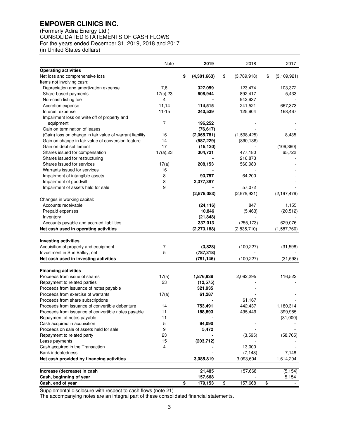(Formerly Adira Energy Ltd.) CONSOLIDATED STATEMENTS OF CASH FLOWS For the years ended December 31, 2019, 2018 and 2017 (in United States dollars)

|                                                          | Note         | 2019              |                         | 2018        |                         | 2017          |
|----------------------------------------------------------|--------------|-------------------|-------------------------|-------------|-------------------------|---------------|
| <b>Operating activities</b>                              |              |                   |                         |             |                         |               |
| Net loss and comprehensive loss                          |              | \$<br>(4,301,663) | \$                      | (3,789,918) | \$                      | (3, 109, 921) |
| Items not involving cash:                                |              |                   |                         |             |                         |               |
| Depreciation and amortization expense                    | 7,8          | 327,059           |                         | 123,474     |                         | 103,372       |
| Share-based payments                                     | 17(c), 23    | 608,944           |                         | 892,417     |                         | 5,433         |
| Non-cash listing fee                                     | 4            |                   |                         | 942,937     |                         |               |
| Accretion expense                                        | 11,14        | 114,515           |                         | 241,521     |                         | 667,373       |
| Interest expense                                         | $11 - 15$    | 240,539           |                         | 125,904     |                         | 168,467       |
| Impairment loss on write off of property and             |              |                   |                         |             |                         |               |
| equipment                                                | 7            | 196,252           |                         |             |                         |               |
| Gain on termination of leases                            |              | (76, 617)         |                         |             |                         |               |
| (Gain) loss on change in fair value of warrant liability | 16           | (2,065,781)       |                         | (1,598,425) |                         | 8,435         |
| Gain on change in fair value of conversion feature       | 14           | (587, 229)        |                         | (890, 136)  |                         |               |
| Gain on debt settlement                                  | 17           | (15, 130)         |                         |             |                         | (106, 360)    |
| Shares issued for compensation                           | $17(a)$ , 23 | 304,721           |                         | 477,180     |                         | 65,722        |
| Shares issued for restructuring                          |              |                   |                         | 216,873     |                         |               |
| Shares issued for services                               | 17(a)        | 208,153           |                         | 560,980     |                         |               |
| Warrants issued for services                             | 16           |                   |                         |             |                         |               |
| Impairment of intangible assets                          | 8            | 93,757            |                         | 64,200      |                         |               |
| Impairment of goodwill                                   | 8            | 2,377,397         |                         |             |                         |               |
| Impairment of assets held for sale                       | 9            |                   |                         | 57,072      |                         |               |
|                                                          |              | (2,575,083)       |                         | (2,575,921) |                         | (2, 197, 479) |
| Changes in working capital:                              |              |                   |                         |             |                         |               |
| Accounts receivable                                      |              | (24, 116)         |                         | 847         |                         | 1,155         |
| Prepaid expenses                                         |              | 10,846            |                         | (5, 463)    |                         | (20, 512)     |
| Inventory                                                |              | (21, 848)         |                         |             |                         |               |
| Accounts payable and accrued liabilities                 |              | 337,013           |                         | (255, 173)  |                         | 629,076       |
| Net cash used in operating activities                    |              | (2, 273, 188)     |                         | (2,835,710) |                         | (1, 587, 760) |
|                                                          |              |                   |                         |             |                         |               |
| <b>Investing activities</b>                              |              |                   |                         |             |                         |               |
| Acquisition of property and equipment                    | 7            | (3,828)           |                         | (100, 227)  |                         | (31,598)      |
| Investment in Sun Valley, net                            | 5            | (787, 318)        |                         |             |                         |               |
| Net cash used in investing activities                    |              | (791, 146)        |                         | (100, 227)  |                         | (31,598)      |
| <b>Financing activities</b>                              |              |                   |                         |             |                         |               |
| Proceeds from issue of shares                            | 17(a)        | 1,876,938         |                         | 2,092,295   |                         | 116,522       |
| Repayment to related parties                             | 23           | (12, 575)         |                         |             |                         |               |
| Proceeds from issuance of notes payable                  |              | 321,935           |                         |             |                         |               |
| Proceeds from exercise of warrants                       | 17(a)        | 61,287            |                         |             |                         |               |
| Proceeds from share subscriptions                        |              |                   |                         | 61,167      |                         |               |
| Proceeds from issuance of convertible debenture          | 14           | 753,491           |                         | 442.437     |                         | 1,180,314     |
| Proceeds from issuance of convertible notes payable      | 11           | 188,893           |                         | 495,449     |                         | 399,985       |
| Repayment of notes payable                               | 11           |                   |                         |             |                         | (31,000)      |
| Cash acquired in acquisition                             | 5            | 94,090            |                         |             |                         |               |
| Proceeds on sale of assets held for sale                 | 9            | 5,472             |                         |             |                         |               |
| Repayment to related party                               | 23           |                   |                         | (3,595)     |                         | (58, 765)     |
| Lease payments                                           | 15           | (203, 712)        |                         |             |                         |               |
| Cash acquired in the Transaction                         | 4            |                   |                         | 13,000      |                         |               |
| <b>Bank indebtedness</b>                                 |              |                   |                         | (7, 148)    |                         | 7,148         |
| Net cash provided by financing activities                |              | 3,085,819         |                         | 3,093,604   |                         | 1,614,204     |
|                                                          |              |                   |                         |             |                         |               |
| Increase (decrease) in cash                              |              | 21,485            |                         | 157,668     |                         | (5, 154)      |
| Cash, beginning of year                                  |              | 157,668           |                         |             |                         | 5,154         |
| Cash, end of year                                        |              | \$<br>179,153     | $\overline{\mathbf{e}}$ | 157,668     | $\overline{\mathbf{e}}$ |               |

Supplemental disclosure with respect to cash flows (note 21)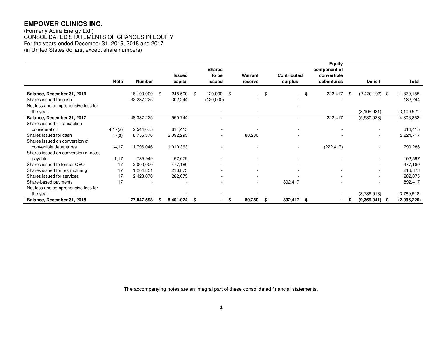(Formerly Adira Energy Ltd.) CONSOLIDATED STATEMENTS OF CHANGES IN EQUITY For the years ended December 31, 2019, 2018 and 2017 (in United States dollars, except share numbers)

|                                      |             |               |                 | <b>Shares</b>        |      |                          |                    | <b>Equity</b><br>component of |                           |              |
|--------------------------------------|-------------|---------------|-----------------|----------------------|------|--------------------------|--------------------|-------------------------------|---------------------------|--------------|
|                                      |             |               | <b>Issued</b>   | to be                |      | Warrant                  | <b>Contributed</b> | convertible                   |                           |              |
|                                      | <b>Note</b> | <b>Number</b> | capital         | issued               |      | reserve                  | surplus            | debentures                    | <b>Deficit</b>            | <b>Total</b> |
| Balance, December 31, 2016           |             | 16,100,000    | 248,500<br>- \$ | \$<br>120,000        | - \$ | \$<br>$\sim$             | - \$<br>$\sim$     | 222,417                       | \$<br>(2,470,102)<br>- \$ | (1,879,185)  |
| Shares issued for cash               |             | 32,237,225    | 302,244         | (120,000)            |      | ٠                        |                    |                               |                           | 182,244      |
| Net loss and comprehensive loss for  |             |               |                 |                      |      |                          |                    |                               |                           |              |
| the year                             |             |               |                 |                      |      |                          |                    |                               | (3, 109, 921)             | (3,109,921)  |
| Balance, December 31, 2017           |             | 48,337,225    | 550,744         |                      |      | $\overline{\phantom{a}}$ |                    | 222,417                       | (5,580,023)               | (4,806,862)  |
| Shares issued - Transaction          |             |               |                 |                      |      |                          |                    |                               |                           |              |
| consideration                        | 4,17(a)     | 2,544,075     | 614,415         |                      |      |                          |                    |                               |                           | 614,415      |
| Shares issued for cash               | 17(a)       | 8,756,376     | 2,092,295       |                      |      | 80,280                   |                    |                               | ٠                         | 2,224,717    |
| Shares issued on conversion of       |             |               |                 |                      |      |                          |                    |                               |                           |              |
| convertible debentures               | 14,17       | 11,796,046    | 1,010,363       |                      |      |                          |                    | (222, 417)                    |                           | 790,286      |
| Shares issued on conversion of notes |             |               |                 |                      |      |                          |                    |                               |                           |              |
| payable                              | 11,17       | 785,949       | 157,079         |                      |      |                          |                    |                               |                           | 102,597      |
| Shares issued to former CEO          | 17          | 2,000,000     | 477,180         |                      |      | ٠                        |                    |                               | ۰.                        | 477,180      |
| Shares issued for restructuring      | 17          | 1,204,851     | 216,873         |                      |      | ٠                        |                    |                               | $\overline{\phantom{a}}$  | 216,873      |
| Shares issued for services           | 17          | 2,423,076     | 282,075         |                      |      | ٠                        |                    |                               | $\overline{\phantom{a}}$  | 282,075      |
| Share-based payments                 | 17          |               |                 |                      |      | ٠                        | 892,417            |                               |                           | 892,417      |
| Net loss and comprehensive loss for  |             |               |                 |                      |      |                          |                    |                               |                           |              |
| the year                             |             |               |                 |                      |      |                          |                    | $\overline{\phantom{a}}$      | (3,789,918)               | (3,789,918)  |
| Balance, December 31, 2018           |             | 77,847,598    | 5,401,024<br>Æ  | \$<br>$\blacksquare$ | \$   | 80,280<br>\$             | 892,417<br>\$      | $\blacksquare$                | \$<br>(9,369,941)<br>Æ    | (2,996,220)  |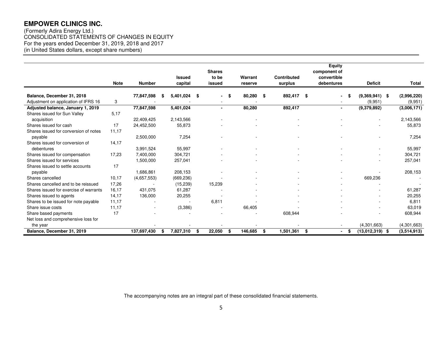(Formerly Adira Energy Ltd.) CONSOLIDATED STATEMENTS OF CHANGES IN EQUITY For the years ended December 31, 2019, 2018 and 2017 (in United States dollars, except share numbers)

|                                        | <b>Note</b> | <b>Number</b>            | <b>Issued</b><br>capital | <b>Shares</b><br>to be<br>issued | Warrant<br>reserve | <b>Contributed</b><br>surplus |     | Equity<br>component of<br>convertible<br>debentures | <b>Deficit</b>          | <b>Total</b> |
|----------------------------------------|-------------|--------------------------|--------------------------|----------------------------------|--------------------|-------------------------------|-----|-----------------------------------------------------|-------------------------|--------------|
| Balance, December 31, 2018             |             | 77,847,598               | 5,401,024                | \$<br>$\sim$                     | \$<br>80,280       | \$<br>892,417                 | -\$ | $\blacksquare$                                      | \$<br>$(9,369,941)$ \$  | (2,996,220)  |
| Adjustment on application of IFRS 16   | 3           |                          |                          |                                  |                    |                               |     |                                                     | (9,951)                 | (9,951)      |
| Adjusted balance, January 1, 2019      |             | 77,847,598               | 5,401,024                | $\blacksquare$                   | 80,280             | 892,417                       |     | $\blacksquare$                                      | (9,379,892)             | (3,006,171)  |
| Shares issued for Sun Valley           | 5.17        |                          |                          |                                  |                    |                               |     |                                                     |                         |              |
| acquisition                            |             | 22,409,425               | 2,143,566                |                                  |                    |                               |     |                                                     |                         | 2,143,566    |
| Shares issued for cash                 | 17          | 24,452,500               | 55,873                   |                                  |                    |                               |     |                                                     |                         | 55,873       |
| Shares issued for conversion of notes  | 11,17       |                          |                          |                                  |                    |                               |     |                                                     |                         |              |
| payable                                |             | 2,500,000                | 7,254                    |                                  |                    |                               |     |                                                     |                         | 7,254        |
| Shares issued for conversion of        | 14,17       |                          |                          |                                  |                    |                               |     |                                                     |                         |              |
| debentures                             |             | 3,991,524                | 55,997                   |                                  |                    |                               |     |                                                     |                         | 55,997       |
| Shares issued for compensation         | 17,23       | 7,400,000                | 304,721                  |                                  |                    |                               |     |                                                     |                         | 304,721      |
| Shares issued for services             |             | 1,500,000                | 257,041                  |                                  |                    |                               |     |                                                     |                         | 257,041      |
| Shares issued to settle accounts       | 17          |                          |                          |                                  |                    |                               |     |                                                     |                         |              |
| payable                                |             | 1,686,861                | 208,153                  |                                  |                    |                               |     |                                                     |                         | 208,153      |
| Shares cancelled                       | 10,17       | (4,657,553)              | (669, 236)               |                                  |                    |                               |     |                                                     | 669,236                 |              |
| Shares cancelled and to be reissued    | 17,26       | $\overline{\phantom{a}}$ | (15, 239)                | 15,239                           |                    |                               |     |                                                     |                         |              |
| Shares issued for exercise of warrants | 16.17       | 431,075                  | 61,287                   |                                  |                    |                               |     |                                                     |                         | 61,287       |
| Shares issued to agents                | 14,17       | 136,000                  | 20,255                   |                                  |                    |                               |     |                                                     |                         | 20,255       |
| Shares to be issued for note payable   | 11,17       | $\overline{\phantom{a}}$ |                          | 6,811                            |                    |                               |     |                                                     |                         | 6,811        |
| Share issue costs                      | 11,17       |                          | (3,386)                  |                                  | 66,405             |                               |     |                                                     |                         | 63,019       |
| Share based payments                   | 17          |                          |                          |                                  |                    | 608,944                       |     |                                                     |                         | 608,944      |
| Net loss and comprehensive loss for    |             |                          |                          |                                  |                    |                               |     |                                                     |                         |              |
| the year                               |             |                          |                          |                                  |                    |                               |     |                                                     | (4,301,663)             | (4,301,663)  |
| Balance, December 31, 2019             |             | 137,697,430              | 7,827,310                | \$<br>22,050                     | \$<br>146,685      | \$<br>1,501,361               | \$  | $\blacksquare$                                      | \$<br>$(13,012,319)$ \$ | (3,514,913)  |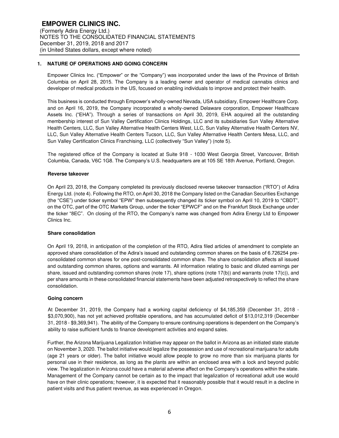## **1. NATURE OF OPERATIONS AND GOING CONCERN**

Empower Clinics Inc. ("Empower" or the "Company") was incorporated under the laws of the Province of British Columbia on April 28, 2015. The Company is a leading owner and operator of medical cannabis clinics and developer of medical products in the US, focused on enabling individuals to improve and protect their health.

This business is conducted through Empower's wholly-owned Nevada, USA subsidiary, Empower Healthcare Corp. and on April 16, 2019, the Company incorporated a wholly-owned Delaware corporation, Empower Healthcare Assets Inc. ("EHA"). Through a series of transactions on April 30, 2019, EHA acquired all the outstanding membership interest of Sun Valley Certification Clinics Holdings, LLC and its subsidiaries Sun Valley Alternative Health Centers, LLC, Sun Valley Alternative Health Centers West, LLC, Sun Valley Alternative Health Centers NV, LLC, Sun Valley Alternative Health Centers Tucson, LLC, Sun Valley Alternative Health Centers Mesa, LLC, and Sun Valley Certification Clinics Franchising, LLC (collectively "Sun Valley") (note 5).

The registered office of the Company is located at Suite 918 - 1030 West Georgia Street, Vancouver, British Columbia, Canada, V6C 1G8. The Company's U.S. headquarters are at 105 SE 18th Avenue, Portland, Oregon.

#### **Reverse takeover**

On April 23, 2018, the Company completed its previously disclosed reverse takeover transaction ("RTO") of Adira Energy Ltd. (note 4). Following the RTO, on April 30, 2018 the Company listed on the Canadian Securities Exchange (the "CSE") under ticker symbol "EPW" then subsequently changed its ticker symbol on April 10, 2019 to "CBDT", on the OTC, part of the OTC Markets Group, under the ticker "EPWCF" and on the Frankfurt Stock Exchange under the ticker "8EC". On closing of the RTO, the Company's name was changed from Adira Energy Ltd to Empower Clinics Inc.

#### **Share consolidation**

On April 19, 2018, in anticipation of the completion of the RTO, Adira filed articles of amendment to complete an approved share consolidation of the Adira's issued and outstanding common shares on the basis of 6.726254 preconsolidated common shares for one post-consolidated common share. The share consolidation affects all issued and outstanding common shares, options and warrants. All information relating to basic and diluted earnings per share, issued and outstanding common shares (note 17), share options (note 17(b)) and warrants (note 17(c)), and per share amounts in these consolidated financial statements have been adjusted retrospectively to reflect the share consolidation.

#### **Going concern**

At December 31, 2019, the Company had a working capital deficiency of \$4,185,359 (December 31, 2018 - \$3,070,900), has not yet achieved profitable operations, and has accumulated deficit of \$13,012,319 (December 31, 2018 - \$9,369,941). The ability of the Company to ensure continuing operations is dependent on the Company's ability to raise sufficient funds to finance development activities and expand sales.

Further, the Arizona Marijuana Legalization Initiative may appear on the ballot in Arizona as an initiated state statute on November 3, 2020. The ballot initiative would legalize the possession and use of recreational marijuana for adults (age 21 years or older). The ballot initiative would allow people to grow no more than six marijuana plants for personal use in their residence, as long as the plants are within an enclosed area with a lock and beyond public view. The legalization in Arizona could have a material adverse affect on the Company's operations within the state. Management of the Company cannot be certain as to the impact that legalization of recreational adult use would have on their clinic operations; however, it is expected that it reasonably possible that it would result in a decline in patient visits and thus patient revenue, as was experienced in Oregon.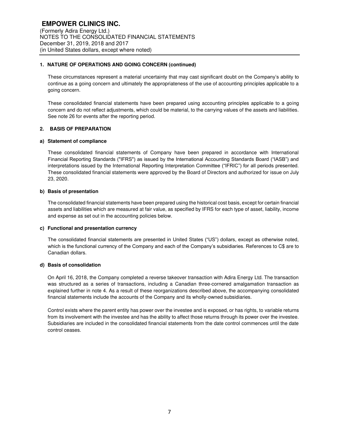## **1. NATURE OF OPERATIONS AND GOING CONCERN (continued)**

These circumstances represent a material uncertainty that may cast significant doubt on the Company's ability to continue as a going concern and ultimately the appropriateness of the use of accounting principles applicable to a going concern.

These consolidated financial statements have been prepared using accounting principles applicable to a going concern and do not reflect adjustments, which could be material, to the carrying values of the assets and liabilities. See note 26 for events after the reporting period.

## **2. BASIS OF PREPARATION**

## **a) Statement of compliance**

These consolidated financial statements of Company have been prepared in accordance with International Financial Reporting Standards ("IFRS") as issued by the International Accounting Standards Board ("IASB") and interpretations issued by the International Reporting Interpretation Committee ("IFRIC") for all periods presented. These consolidated financial statements were approved by the Board of Directors and authorized for issue on July 23, 2020.

#### **b) Basis of presentation**

The consolidated financial statements have been prepared using the historical cost basis, except for certain financial assets and liabilities which are measured at fair value, as specified by IFRS for each type of asset, liability, income and expense as set out in the accounting policies below.

#### **c) Functional and presentation currency**

The consolidated financial statements are presented in United States ("US") dollars, except as otherwise noted, which is the functional currency of the Company and each of the Company's subsidiaries. References to C\$ are to Canadian dollars.

#### **d) Basis of consolidation**

On April 16, 2018, the Company completed a reverse takeover transaction with Adira Energy Ltd. The transaction was structured as a series of transactions, including a Canadian three-cornered amalgamation transaction as explained further in note 4. As a result of these reorganizations described above, the accompanying consolidated financial statements include the accounts of the Company and its wholly-owned subsidiaries.

Control exists where the parent entity has power over the investee and is exposed, or has rights, to variable returns from its involvement with the investee and has the ability to affect those returns through its power over the investee. Subsidiaries are included in the consolidated financial statements from the date control commences until the date control ceases.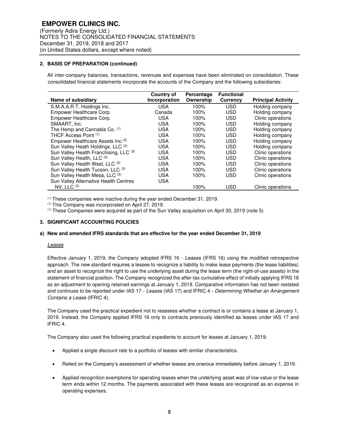## **2. BASIS OF PREPARATION (continued)**

 All inter-company balances, transactions, revenues and expenses have been eliminated on consolidation. These consolidated financial statements incorporate the accounts of the Company and the following subsidiaries:

|                                               | Country of    | Percentage | <b>Functional</b> |                           |
|-----------------------------------------------|---------------|------------|-------------------|---------------------------|
| Name of subsidiary                            | Incorporation | Ownership  | <b>Currency</b>   | <b>Principal Activity</b> |
| S.M.A.A.R.T. Holdings Inc.                    | <b>USA</b>    | 100%       | <b>USD</b>        | Holding company           |
| Empower Healthcare Corp.                      | Canada        | 100%       | <b>USD</b>        | Holding company           |
| Empower Healthcare Corp.                      | <b>USA</b>    | 100%       | <b>USD</b>        | Clinic operations         |
| SMAART. Inc.                                  | <b>USA</b>    | 100%       | <b>USD</b>        | Holding company           |
| The Hemp and Cannabis Co. (1)                 | <b>USA</b>    | 100%       | <b>USD</b>        | Holding company           |
| THCF Access Point (1)                         | <b>USA</b>    | 100%       | <b>USD</b>        | Holding company           |
| Empower Healthcare Assets Inc. <sup>(2)</sup> | <b>USA</b>    | 100%       | <b>USD</b>        | Holding company           |
| Sun Valley Heath Holdings, LLC (3)            | <b>USA</b>    | 100%       | <b>USD</b>        | Holding company           |
| Sun Valley Health Franchising, LLC (3)        | <b>USA</b>    | 100%       | <b>USD</b>        | Clinic operations         |
| Sun Valley Health, LLC (3)                    | <b>USA</b>    | 100%       | <b>USD</b>        | Clinic operations         |
| Sun Valley Health West, LLC (3)               | <b>USA</b>    | 100%       | <b>USD</b>        | Clinic operations         |
| Sun Valley Health Tucson, LLC (3)             | <b>USA</b>    | 100%       | <b>USD</b>        | Clinic operations         |
| Sun Valley Health Mesa, LLC (3)               | <b>USA</b>    | 100%       | <b>USD</b>        | Clinic operations         |
| Sun Valley Alternative Health Centres         | <b>USA</b>    |            |                   |                           |
| NV. LLC $(3)$                                 |               | 100%       | <b>USD</b>        | Clinic operations         |

 $<sup>(1)</sup>$  These companies were inactive during the year ended December 31, 2019.</sup>

(2) This Company was incorporated on April 27, 2019.

(3) These Companies were acquired as part of the Sun Valley acquisition on April 30, 2019 (note 5)

### **3. SIGNIFICANT ACCOUNTING POLICIES**

#### **a) New and amended IFRS standards that are effective for the year ended December 31, 2019**

#### *Leases*

Effective January 1, 2019, the Company adopted IFRS 16 - *Leases* (IFRS 16) using the modified retrospective approach. The new standard requires a lessee to recognize a liability to make lease payments (the lease liabilities) and an asset to recognize the right to use the underlying asset during the lease term (the right-of-use assets) in the statement of financial position. The Company recognized the after-tax cumulative effect of initially applying IFRS 16 as an adjustment to opening retained earnings at January 1, 2019. Comparative information has not been restated and continues to be reported under IAS 17 - *Leases* (IAS 17) and IFRIC 4 - *Determining Whether an Arrangement Contains a Lease* (IFRIC 4).

The Company used the practical expedient not to reassess whether a contract is or contains a lease at January 1, 2019. Instead, the Company applied IFRS 16 only to contracts previously identified as leases under IAS 17 and IFRIC 4.

The Company also used the following practical expedients to account for leases at January 1, 2019:

- Applied a single discount rate to a portfolio of leases with similar characteristics.
- Relied on the Company's assessment of whether leases are onerous immediately before January 1, 2019.
- Applied recognition exemptions for operating leases when the underlying asset was of low value or the lease term ends within 12 months. The payments associated with these leases are recognized as an expense in operating expenses.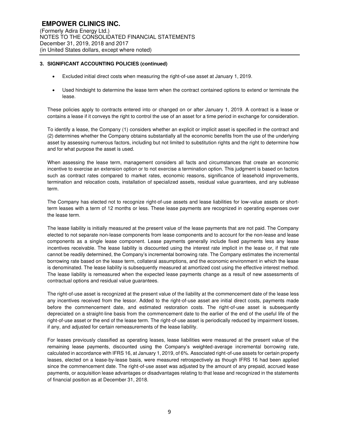- Excluded initial direct costs when measuring the right-of-use asset at January 1, 2019.
- Used hindsight to determine the lease term when the contract contained options to extend or terminate the lease.

These policies apply to contracts entered into or changed on or after January 1, 2019. A contract is a lease or contains a lease if it conveys the right to control the use of an asset for a time period in exchange for consideration.

To identify a lease, the Company (1) considers whether an explicit or implicit asset is specified in the contract and (2) determines whether the Company obtains substantially all the economic benefits from the use of the underlying asset by assessing numerous factors, including but not limited to substitution rights and the right to determine how and for what purpose the asset is used.

When assessing the lease term, management considers all facts and circumstances that create an economic incentive to exercise an extension option or to not exercise a termination option. This judgment is based on factors such as contract rates compared to market rates, economic reasons, significance of leasehold improvements, termination and relocation costs, installation of specialized assets, residual value guarantees, and any sublease term.

The Company has elected not to recognize right-of-use assets and lease liabilities for low-value assets or shortterm leases with a term of 12 months or less. These lease payments are recognized in operating expenses over the lease term.

The lease liability is initially measured at the present value of the lease payments that are not paid. The Company elected to not separate non-lease components from lease components and to account for the non-lease and lease components as a single lease component. Lease payments generally include fixed payments less any lease incentives receivable. The lease liability is discounted using the interest rate implicit in the lease or, if that rate cannot be readily determined, the Company's incremental borrowing rate. The Company estimates the incremental borrowing rate based on the lease term, collateral assumptions, and the economic environment in which the lease is denominated. The lease liability is subsequently measured at amortized cost using the effective interest method. The lease liability is remeasured when the expected lease payments change as a result of new assessments of contractual options and residual value guarantees.

The right-of-use asset is recognized at the present value of the liability at the commencement date of the lease less any incentives received from the lessor. Added to the right-of-use asset are initial direct costs, payments made before the commencement date, and estimated restoration costs. The right-of-use asset is subsequently depreciated on a straight-line basis from the commencement date to the earlier of the end of the useful life of the right-of-use asset or the end of the lease term. The right-of-use asset is periodically reduced by impairment losses, if any, and adjusted for certain remeasurements of the lease liability.

For leases previously classified as operating leases, lease liabilities were measured at the present value of the remaining lease payments, discounted using the Company's weighted-average incremental borrowing rate, calculated in accordance with IFRS 16, at January 1, 2019, of 6%. Associated right-of-use assets for certain property leases, elected on a lease-by-lease basis, were measured retrospectively as though IFRS 16 had been applied since the commencement date. The right-of-use asset was adjusted by the amount of any prepaid, accrued lease payments, or acquisition lease advantages or disadvantages relating to that lease and recognized in the statements of financial position as at December 31, 2018.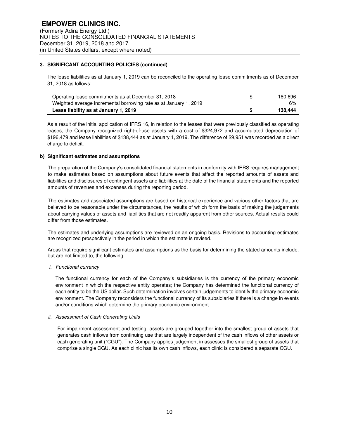The lease liabilities as at January 1, 2019 can be reconciled to the operating lease commitments as of December 31, 2018 as follows:

| Operating lease commitments as at December 31, 2018               | 180,696 |
|-------------------------------------------------------------------|---------|
| Weighted average incremental borrowing rate as at January 1, 2019 | 6%      |
| Lease liability as at January 1, 2019                             | 138.444 |

As a result of the initial application of IFRS 16, in relation to the leases that were previously classified as operating leases, the Company recognized right-of-use assets with a cost of \$324,972 and accumulated depreciation of \$196,479 and lease liabilities of \$138,444 as at January 1, 2019. The difference of \$9,951 was recorded as a direct charge to deficit.

#### **b) Significant estimates and assumptions**

The preparation of the Company's consolidated financial statements in conformity with IFRS requires management to make estimates based on assumptions about future events that affect the reported amounts of assets and liabilities and disclosures of contingent assets and liabilities at the date of the financial statements and the reported amounts of revenues and expenses during the reporting period.

The estimates and associated assumptions are based on historical experience and various other factors that are believed to be reasonable under the circumstances, the results of which form the basis of making the judgements about carrying values of assets and liabilities that are not readily apparent from other sources. Actual results could differ from those estimates.

The estimates and underlying assumptions are reviewed on an ongoing basis. Revisions to accounting estimates are recognized prospectively in the period in which the estimate is revised.

Areas that require significant estimates and assumptions as the basis for determining the stated amounts include, but are not limited to, the following:

*i. Functional currency* 

The functional currency for each of the Company's subsidiaries is the currency of the primary economic environment in which the respective entity operates; the Company has determined the functional currency of each entity to be the US dollar. Such determination involves certain judgements to identify the primary economic environment. The Company reconsiders the functional currency of its subsidiaries if there is a change in events and/or conditions which determine the primary economic environment.

#### *ii. Assessment of Cash Generating Units*

For impairment assessment and testing, assets are grouped together into the smallest group of assets that generates cash inflows from continuing use that are largely independent of the cash inflows of other assets or cash generating unit ("CGU"). The Company applies judgement in assesses the smallest group of assets that comprise a single CGU. As each clinic has its own cash inflows, each clinic is considered a separate CGU.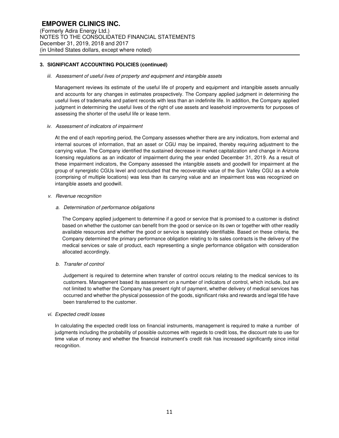#### *iii. Assessment of useful lives of property and equipment and intangible assets*

Management reviews its estimate of the useful life of property and equipment and intangible assets annually and accounts for any changes in estimates prospectively. The Company applied judgment in determining the useful lives of trademarks and patient records with less than an indefinite life. In addition, the Company applied judgment in determining the useful lives of the right of use assets and leasehold improvements for purposes of assessing the shorter of the useful life or lease term.

#### *iv. Assessment of indicators of impairment*

At the end of each reporting period, the Company assesses whether there are any indicators, from external and internal sources of information, that an asset or CGU may be impaired, thereby requiring adjustment to the carrying value. The Company identified the sustained decrease in market capitalization and change in Arizona licensing regulations as an indicator of impairment during the year ended December 31, 2019. As a result of these impairment indicators, the Company assessed the intangible assets and goodwill for impairment at the group of synergistic CGUs level and concluded that the recoverable value of the Sun Valley CGU as a whole (comprising of multiple locations) was less than its carrying value and an impairment loss was recognized on intangible assets and goodwill.

#### *v. Revenue recognition*

## *a. Determination of performance obligations*

The Company applied judgement to determine if a good or service that is promised to a customer is distinct based on whether the customer can benefit from the good or service on its own or together with other readily available resources and whether the good or service is separately identifiable. Based on these criteria, the Company determined the primary performance obligation relating to its sales contracts is the delivery of the medical services or sale of product, each representing a single performance obligation with consideration allocated accordingly.

## *b. Transfer of control*

Judgement is required to determine when transfer of control occurs relating to the medical services to its customers. Management based its assessment on a number of indicators of control, which include, but are not limited to whether the Company has present right of payment, whether delivery of medical services has occurred and whether the physical possession of the goods, significant risks and rewards and legal title have been transferred to the customer.

#### *vi. Expected credit losses*

In calculating the expected credit loss on financial instruments, management is required to make a number of judgments including the probability of possible outcomes with regards to credit loss, the discount rate to use for time value of money and whether the financial instrument's credit risk has increased significantly since initial recognition.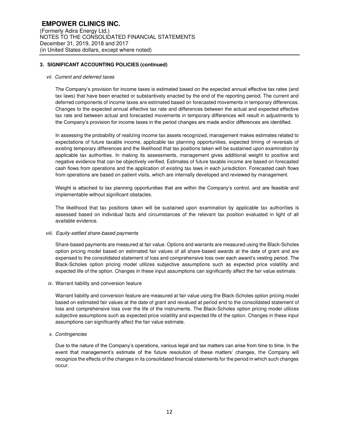#### *vii. Current and deferred taxes*

The Company's provision for income taxes is estimated based on the expected annual effective tax rates (and tax laws) that have been enacted or substantively enacted by the end of the reporting period. The current and deferred components of income taxes are estimated based on forecasted movements in temporary differences. Changes to the expected annual effective tax rate and differences between the actual and expected effective tax rate and between actual and forecasted movements in temporary differences will result in adjustments to the Company's provision for income taxes in the period changes are made and/or differences are identified.

In assessing the probability of realizing income tax assets recognized, management makes estimates related to expectations of future taxable income, applicable tax planning opportunities, expected timing of reversals of existing temporary differences and the likelihood that tax positions taken will be sustained upon examination by applicable tax authorities. In making its assessments, management gives additional weight to positive and negative evidence that can be objectively verified. Estimates of future taxable income are based on forecasted cash flows from operations and the application of existing tax laws in each jurisdiction. Forecasted cash flows from operations are based on patient visits, which are internally developed and reviewed by management.

Weight is attached to tax planning opportunities that are within the Company's control, and are feasible and implementable without significant obstacles.

The likelihood that tax positions taken will be sustained upon examination by applicable tax authorities is assessed based on individual facts and circumstances of the relevant tax position evaluated in light of all available evidence.

#### *viii. Equity-settled share-based payments*

Share-based payments are measured at fair value. Options and warrants are measured using the Black-Scholes option pricing model based on estimated fair values of all share-based awards at the date of grant and are expensed to the consolidated statement of loss and comprehensive loss over each award's vesting period. The Black-Scholes option pricing model utilizes subjective assumptions such as expected price volatility and expected life of the option. Changes in these input assumptions can significantly affect the fair value estimate.

*ix.* Warrant liability and conversion feature

Warrant liability and conversion feature are measured at fair value using the Black-Scholes option pricing model based on estimated fair values at the date of grant and revalued at period end to the consolidated statement of loss and comprehensive loss over the life of the instruments. The Black-Scholes option pricing model utilizes subjective assumptions such as expected price volatility and expected life of the option. Changes in these input assumptions can significantly affect the fair value estimate.

*x. Contingencies* 

Due to the nature of the Company's operations, various legal and tax matters can arise from time to time. In the event that management's estimate of the future resolution of these matters' changes, the Company will recognize the effects of the changes in its consolidated financial statements for the period in which such changes occur.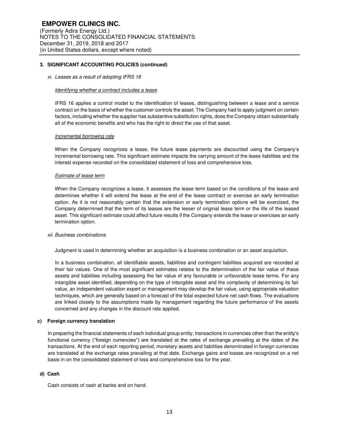#### *xi. Leases as a result of adopting IFRS 16*

#### *Identifying whether a contract includes a lease*

IFRS 16 applies a control model to the identification of leases, distinguishing between a lease and a service contract on the basis of whether the customer controls the asset. The Company had to apply judgment on certain factors, including whether the supplier has substantive substitution rights, does the Company obtain substantially all of the economic benefits and who has the right to direct the use of that asset.

#### *Incremental borrowing rate*

When the Company recognizes a lease, the future lease payments are discounted using the Company's incremental borrowing rate. This significant estimate impacts the carrying amount of the lease liabilities and the interest expense recorded on the consolidated statement of loss and comprehensive loss.

#### *Estimate of lease term*

When the Company recognizes a lease, it assesses the lease term based on the conditions of the lease and determines whether it will extend the lease at the end of the lease contract or exercise an early termination option. As it is not reasonably certain that the extension or early termination options will be exercised, the Company determined that the term of its leases are the lesser of original lease term or the life of the leased asset. This significant estimate could affect future results if the Company extends the lease or exercises an early termination option.

#### *xii. Business combinations*

Judgment is used in determining whether an acquisition is a business combination or an asset acquisition.

In a business combination, all identifiable assets, liabilities and contingent liabilities acquired are recorded at their fair values. One of the most significant estimates relates to the determination of the fair value of these assets and liabilities including assessing the fair value of any favourable or unfavorable lease terms. For any intangible asset identified, depending on the type of intangible asset and the complexity of determining its fair value, an independent valuation expert or management may develop the fair value, using appropriate valuation techniques, which are generally based on a forecast of the total expected future net cash flows. The evaluations are linked closely to the assumptions made by management regarding the future performance of the assets concerned and any changes in the discount rate applied.

#### **c) Foreign currency translation**

In preparing the financial statements of each individual group entity, transactions in currencies other than the entity's functional currency ("foreign currencies") are translated at the rates of exchange prevailing at the dates of the transactions. At the end of each reporting period, monetary assets and liabilities denominated in foreign currencies are translated at the exchange rates prevailing at that date. Exchange gains and losses are recognized on a net basis in on the consolidated statement of loss and comprehensive loss for the year.

#### **d) Cash**

Cash consists of cash at banks and on hand.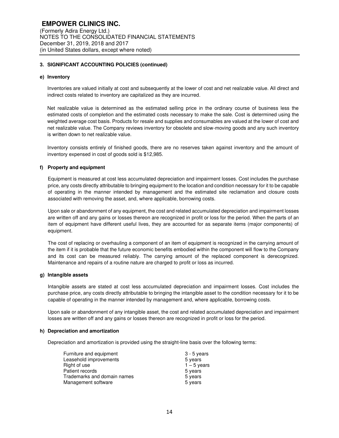#### **e) Inventory**

Inventories are valued initially at cost and subsequently at the lower of cost and net realizable value. All direct and indirect costs related to inventory are capitalized as they are incurred.

Net realizable value is determined as the estimated selling price in the ordinary course of business less the estimated costs of completion and the estimated costs necessary to make the sale. Cost is determined using the weighted average cost basis. Products for resale and supplies and consumables are valued at the lower of cost and net realizable value. The Company reviews inventory for obsolete and slow-moving goods and any such inventory is written down to net realizable value.

Inventory consists entirely of finished goods, there are no reserves taken against inventory and the amount of inventory expensed in cost of goods sold is \$12,985.

#### **f) Property and equipment**

Equipment is measured at cost less accumulated depreciation and impairment losses. Cost includes the purchase price, any costs directly attributable to bringing equipment to the location and condition necessary for it to be capable of operating in the manner intended by management and the estimated site reclamation and closure costs associated with removing the asset, and, where applicable, borrowing costs.

Upon sale or abandonment of any equipment, the cost and related accumulated depreciation and impairment losses are written off and any gains or losses thereon are recognized in profit or loss for the period. When the parts of an item of equipment have different useful lives, they are accounted for as separate items (major components) of equipment.

The cost of replacing or overhauling a component of an item of equipment is recognized in the carrying amount of the item if it is probable that the future economic benefits embodied within the component will flow to the Company and its cost can be measured reliably. The carrying amount of the replaced component is derecognized. Maintenance and repairs of a routine nature are charged to profit or loss as incurred.

#### **g) Intangible assets**

Intangible assets are stated at cost less accumulated depreciation and impairment losses. Cost includes the purchase price, any costs directly attributable to bringing the intangible asset to the condition necessary for it to be capable of operating in the manner intended by management and, where applicable, borrowing costs.

Upon sale or abandonment of any intangible asset, the cost and related accumulated depreciation and impairment losses are written off and any gains or losses thereon are recognized in profit or loss for the period.

#### **h) Depreciation and amortization**

Depreciation and amortization is provided using the straight-line basis over the following terms:

| Furniture and equipment     | $3 - 5$ years |
|-----------------------------|---------------|
| Leasehold improvements      | 5 years       |
| Right of use                | $1 - 5$ years |
| Patient records             | 5 years       |
| Trademarks and domain names | 5 years       |
| Management software         | 5 years       |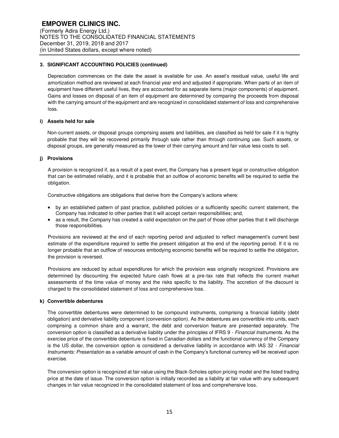Depreciation commences on the date the asset is available for use. An asset's residual value, useful life and amortization method are reviewed at each financial year end and adjusted if appropriate. When parts of an item of equipment have different useful lives, they are accounted for as separate items (major components) of equipment. Gains and losses on disposal of an item of equipment are determined by comparing the proceeds from disposal with the carrying amount of the equipment and are recognized in consolidated statement of loss and comprehensive loss.

## **i) Assets held for sale**

Non-current assets, or disposal groups comprising assets and liabilities, are classified as held for sale if it is highly probable that they will be recovered primarily through sale rather than through continuing use. Such assets, or disposal groups, are generally measured as the lower of their carrying amount and fair value less costs to sell.

## **j) Provisions**

A provision is recognized if, as a result of a past event, the Company has a present legal or constructive obligation that can be estimated reliably, and it is probable that an outflow of economic benefits will be required to settle the obligation.

Constructive obligations are obligations that derive from the Company's actions where:

- by an established pattern of past practice, published policies or a sufficiently specific current statement, the Company has indicated to other parties that it will accept certain responsibilities; and,
- as a result, the Company has created a valid expectation on the part of those other parties that it will discharge those responsibilities.

Provisions are reviewed at the end of each reporting period and adjusted to reflect management's current best estimate of the expenditure required to settle the present obligation at the end of the reporting period. If it is no longer probable that an outflow of resources embodying economic benefits will be required to settle the obligation, the provision is reversed.

Provisions are reduced by actual expenditures for which the provision was originally recognized. Provisions are determined by discounting the expected future cash flows at a pre-tax rate that reflects the current market assessments of the time value of money and the risks specific to the liability. The accretion of the discount is charged to the consolidated statement of loss and comprehensive loss.

#### **k) Convertible debentures**

The convertible debentures were determined to be compound instruments, comprising a financial liability (debt obligation) and derivative liability component (conversion option). As the debentures are convertible into units, each comprising a common share and a warrant, the debt and conversion feature are presented separately. The conversion option is classified as a derivative liability under the principles of IFRS 9 - *Financial Instruments*. As the exercise price of the convertible debenture is fixed in Canadian dollars and the functional currency of the Company is the US dollar, the conversion option is considered a derivative liability in accordance with IAS 32 - *Financial Instruments: Presentation* as a variable amount of cash in the Company's functional currency will be received upon exercise.

The conversion option is recognized at fair value using the Black-Scholes option pricing model and the listed trading price at the date of issue. The conversion option is initially recorded as a liability at fair value with any subsequent changes in fair value recognized in the consolidated statement of loss and comprehensive loss.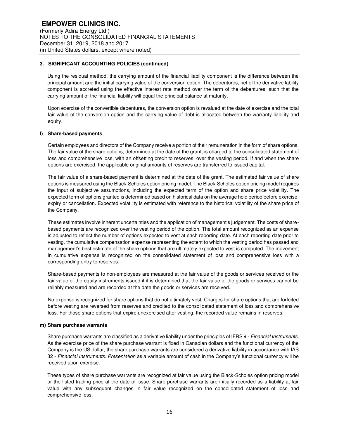Using the residual method, the carrying amount of the financial liability component is the difference between the principal amount and the initial carrying value of the conversion option. The debentures, net of the derivative lability component is accreted using the effective interest rate method over the term of the debentures, such that the carrying amount of the financial liability will equal the principal balance at maturity.

Upon exercise of the convertible debentures, the conversion option is revalued at the date of exercise and the total fair value of the conversion option and the carrying value of debt is allocated between the warranty liability and equity.

#### **l) Share-based payments**

Certain employees and directors of the Company receive a portion of their remuneration in the form of share options. The fair value of the share options, determined at the date of the grant, is charged to the consolidated statement of loss and comprehensive loss, with an offsetting credit to reserves, over the vesting period. If and when the share options are exercised, the applicable original amounts of reserves are transferred to issued capital.

The fair value of a share-based payment is determined at the date of the grant. The estimated fair value of share options is measured using the Black-Scholes option pricing model. The Black-Scholes option pricing model requires the input of subjective assumptions, including the expected term of the option and share price volatility. The expected term of options granted is determined based on historical data on the average hold period before exercise, expiry or cancellation. Expected volatility is estimated with reference to the historical volatility of the share price of the Company.

These estimates involve inherent uncertainties and the application of management's judgement. The costs of sharebased payments are recognized over the vesting period of the option. The total amount recognized as an expense is adjusted to reflect the number of options expected to vest at each reporting date. At each reporting date prior to vesting, the cumulative compensation expense representing the extent to which the vesting period has passed and management's best estimate of the share options that are ultimately expected to vest is computed. The movement in cumulative expense is recognized on the consolidated statement of loss and comprehensive loss with a corresponding entry to reserves.

Share-based payments to non-employees are measured at the fair value of the goods or services received or the fair value of the equity instruments issued if it is determined that the fair value of the goods or services cannot be reliably measured and are recorded at the date the goods or services are received.

No expense is recognized for share options that do not ultimately vest. Charges for share options that are forfeited before vesting are reversed from reserves and credited to the consolidated statement of loss and comprehensive loss. For those share options that expire unexercised after vesting, the recorded value remains in reserves.

#### **m) Share purchase warrants**

Share purchase warrants are classified as a derivative liability under the principles of IFRS 9 - *Financial Instruments*. As the exercise price of the share purchase warrant is fixed in Canadian dollars and the functional currency of the Company is the US dollar, the share purchase warrants are considered a derivative liability in accordance with IAS 32 - *Financial Instruments: Presentation* as a variable amount of cash in the Company's functional currency will be received upon exercise.

These types of share purchase warrants are recognized at fair value using the Black-Scholes option pricing model or the listed trading price at the date of issue. Share purchase warrants are initially recorded as a liability at fair value with any subsequent changes in fair value recognized on the consolidated statement of loss and comprehensive loss.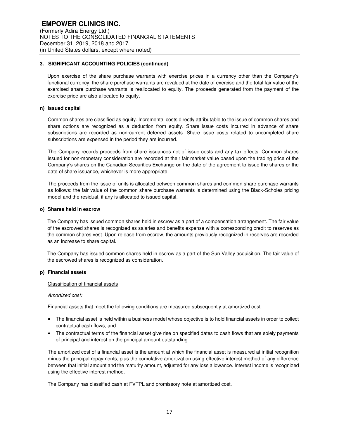Upon exercise of the share purchase warrants with exercise prices in a currency other than the Company's functional currency, the share purchase warrants are revalued at the date of exercise and the total fair value of the exercised share purchase warrants is reallocated to equity. The proceeds generated from the payment of the exercise price are also allocated to equity.

#### **n) Issued capital**

Common shares are classified as equity. Incremental costs directly attributable to the issue of common shares and share options are recognized as a deduction from equity. Share issue costs incurred in advance of share subscriptions are recorded as non-current deferred assets. Share issue costs related to uncompleted share subscriptions are expensed in the period they are incurred.

The Company records proceeds from share issuances net of issue costs and any tax effects. Common shares issued for non-monetary consideration are recorded at their fair market value based upon the trading price of the Company's shares on the Canadian Securities Exchange on the date of the agreement to issue the shares or the date of share issuance, whichever is more appropriate.

The proceeds from the issue of units is allocated between common shares and common share purchase warrants as follows: the fair value of the common share purchase warrants is determined using the Black-Scholes pricing model and the residual, if any is allocated to issued capital.

#### **o) Shares held in escrow**

The Company has issued common shares held in escrow as a part of a compensation arrangement. The fair value of the escrowed shares is recognized as salaries and benefits expense with a corresponding credit to reserves as the common shares vest. Upon release from escrow, the amounts previously recognized in reserves are recorded as an increase to share capital.

The Company has issued common shares held in escrow as a part of the Sun Valley acquisition. The fair value of the escrowed shares is recognized as consideration.

#### **p) Financial assets**

## Classification of financial assets

### *Amortized cost:*

Financial assets that meet the following conditions are measured subsequently at amortized cost:

- The financial asset is held within a business model whose objective is to hold financial assets in order to collect contractual cash flows, and
- The contractual terms of the financial asset give rise on specified dates to cash flows that are solely payments of principal and interest on the principal amount outstanding.

The amortized cost of a financial asset is the amount at which the financial asset is measured at initial recognition minus the principal repayments, plus the cumulative amortization using effective interest method of any difference between that initial amount and the maturity amount, adjusted for any loss allowance. Interest income is recognized using the effective interest method.

The Company has classified cash at FVTPL and promissory note at amortized cost.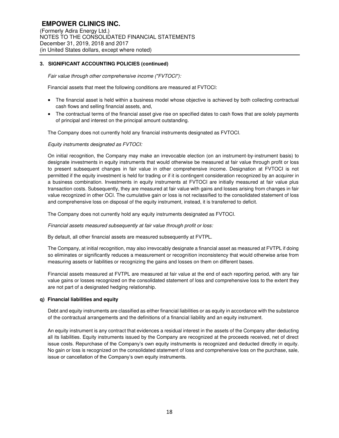*Fair value through other comprehensive income ("FVTOCI"):* 

Financial assets that meet the following conditions are measured at FVTOCI:

- The financial asset is held within a business model whose objective is achieved by both collecting contractual cash flows and selling financial assets, and,
- The contractual terms of the financial asset give rise on specified dates to cash flows that are solely payments of principal and interest on the principal amount outstanding.

The Company does not currently hold any financial instruments designated as FVTOCI.

## *Equity instruments designated as FVTOCI:*

On initial recognition, the Company may make an irrevocable election (on an instrument-by-instrument basis) to designate investments in equity instruments that would otherwise be measured at fair value through profit or loss to present subsequent changes in fair value in other comprehensive income. Designation at FVTOCI is not permitted if the equity investment is held for trading or if it is contingent consideration recognized by an acquirer in a business combination. Investments in equity instruments at FVTOCI are initially measured at fair value plus transaction costs. Subsequently, they are measured at fair value with gains and losses arising from changes in fair value recognized in other OCI. The cumulative gain or loss is not reclassified to the consolidated statement of loss and comprehensive loss on disposal of the equity instrument, instead, it is transferred to deficit.

The Company does not currently hold any equity instruments designated as FVTOCI.

*Financial assets measured subsequently at fair value through profit or loss:* 

By default, all other financial assets are measured subsequently at FVTPL.

The Company, at initial recognition, may also irrevocably designate a financial asset as measured at FVTPL if doing so eliminates or significantly reduces a measurement or recognition inconsistency that would otherwise arise from measuring assets or liabilities or recognizing the gains and losses on them on different bases.

Financial assets measured at FVTPL are measured at fair value at the end of each reporting period, with any fair value gains or losses recognized on the consolidated statement of loss and comprehensive loss to the extent they are not part of a designated hedging relationship.

#### **q) Financial liabilities and equity**

Debt and equity instruments are classified as either financial liabilities or as equity in accordance with the substance of the contractual arrangements and the definitions of a financial liability and an equity instrument.

An equity instrument is any contract that evidences a residual interest in the assets of the Company after deducting all its liabilities. Equity instruments issued by the Company are recognized at the proceeds received, net of direct issue costs. Repurchase of the Company's own equity instruments is recognized and deducted directly in equity. No gain or loss is recognized on the consolidated statement of loss and comprehensive loss on the purchase, sale, issue or cancellation of the Company's own equity instruments.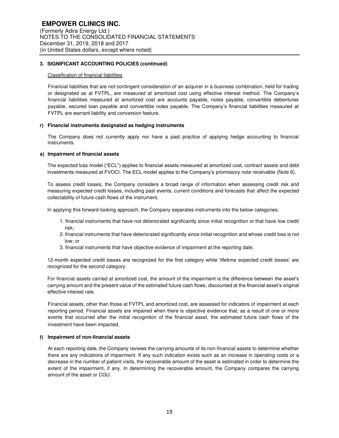#### Classification of financial liabilities

Financial liabilities that are not contingent consideration of an acquirer in a business combination, held for trading or designated as at FVTPL, are measured at amortized cost using effective interest method. The Company's financial liabilities measured at amortized cost are accounts payable, notes payable, convertible debentures payable, secured loan payable and convertible notes payable. The Company's financial liabilities measured at FVTPL are warrant liability and conversion feature.

#### **r) Financial instruments designated as hedging instruments**

The Company does not currently apply nor have a past practice of applying hedge accounting to financial instruments.

#### **s) Impairment of financial assets**

The expected loss model ("ECL") applies to financial assets measured at amortized cost, contract assets and debt investments measured at FVOCI. The ECL model applies to the Company's promissory note receivable (Note 6).

To assess credit losses, the Company considers a broad range of information when assessing credit risk and measuring expected credit losses, including past events, current conditions and forecasts that affect the expected collectability of future cash flows of the instrument.

In applying this forward-looking approach, the Company separates instruments into the below categories:

- 1. financial instruments that have not deteriorated significantly since initial recognition or that have low credit risk;
- 2. financial instruments that have deteriorated significantly since initial recognition and whose credit loss is not low; or
- 3. financial instruments that have objective evidence of impairment at the reporting date.

12-month expected credit losses are recognized for the first category while 'lifetime expected credit losses' are recognized for the second category.

For financial assets carried at amortized cost, the amount of the impairment is the difference between the asset's carrying amount and the present value of the estimated future cash flows, discounted at the financial asset's original effective interest rate.

Financial assets, other than those at FVTPL and amortized cost, are assessed for indicators of impairment at each reporting period. Financial assets are impaired when there is objective evidence that, as a result of one or more events that occurred after the initial recognition of the financial asset, the estimated future cash flows of the investment have been impacted.

#### **t) Impairment of non-financial assets**

At each reporting date, the Company reviews the carrying amounts of its non-financial assets to determine whether there are any indications of impairment. If any such indication exists such as an increase in operating costs or a decrease in the number of patient visits, the recoverable amount of the asset is estimated in order to determine the extent of the impairment, if any. In determining the recoverable amount, the Company compares the carrying amount of the asset or CGU.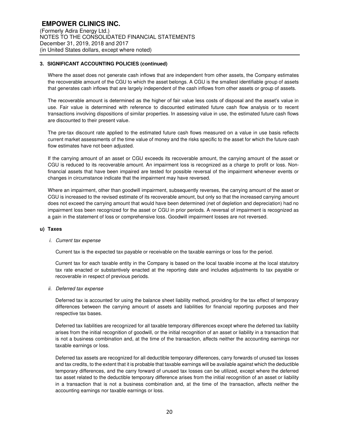Where the asset does not generate cash inflows that are independent from other assets, the Company estimates the recoverable amount of the CGU to which the asset belongs. A CGU is the smallest identifiable group of assets that generates cash inflows that are largely independent of the cash inflows from other assets or group of assets.

The recoverable amount is determined as the higher of fair value less costs of disposal and the asset's value in use. Fair value is determined with reference to discounted estimated future cash flow analysis or to recent transactions involving dispositions of similar properties. In assessing value in use, the estimated future cash flows are discounted to their present value.

The pre-tax discount rate applied to the estimated future cash flows measured on a value in use basis reflects current market assessments of the time value of money and the risks specific to the asset for which the future cash flow estimates have not been adjusted.

If the carrying amount of an asset or CGU exceeds its recoverable amount, the carrying amount of the asset or CGU is reduced to its recoverable amount. An impairment loss is recognized as a charge to profit or loss. Nonfinancial assets that have been impaired are tested for possible reversal of the impairment whenever events or changes in circumstance indicate that the impairment may have reversed.

Where an impairment, other than goodwill impairment, subsequently reverses, the carrying amount of the asset or CGU is increased to the revised estimate of its recoverable amount, but only so that the increased carrying amount does not exceed the carrying amount that would have been determined (net of depletion and depreciation) had no impairment loss been recognized for the asset or CGU in prior periods. A reversal of impairment is recognized as a gain in the statement of loss or comprehensive loss. Goodwill impairment losses are not reversed.

#### **u) Taxes**

#### *i. Current tax expense*

Current tax is the expected tax payable or receivable on the taxable earnings or loss for the period.

Current tax for each taxable entity in the Company is based on the local taxable income at the local statutory tax rate enacted or substantively enacted at the reporting date and includes adjustments to tax payable or recoverable in respect of previous periods.

*ii. Deferred tax expense* 

Deferred tax is accounted for using the balance sheet liability method, providing for the tax effect of temporary differences between the carrying amount of assets and liabilities for financial reporting purposes and their respective tax bases.

Deferred tax liabilities are recognized for all taxable temporary differences except where the deferred tax liability arises from the initial recognition of goodwill, or the initial recognition of an asset or liability in a transaction that is not a business combination and, at the time of the transaction, affects neither the accounting earnings nor taxable earnings or loss.

Deferred tax assets are recognized for all deductible temporary differences, carry forwards of unused tax losses and tax credits, to the extent that it is probable that taxable earnings will be available against which the deductible temporary differences, and the carry forward of unused tax losses can be utilized, except where the deferred tax asset related to the deductible temporary difference arises from the initial recognition of an asset or liability in a transaction that is not a business combination and, at the time of the transaction, affects neither the accounting earnings nor taxable earnings or loss.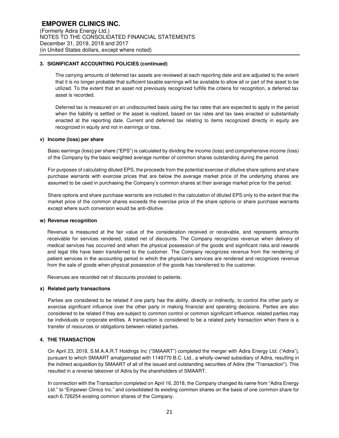The carrying amounts of deferred tax assets are reviewed at each reporting date and are adjusted to the extent that it is no longer probable that sufficient taxable earnings will be available to allow all or part of the asset to be utilized. To the extent that an asset not previously recognized fulfills the criteria for recognition, a deferred tax asset is recorded.

Deferred tax is measured on an undiscounted basis using the tax rates that are expected to apply in the period when the liability is settled or the asset is realized, based on tax rates and tax laws enacted or substantially enacted at the reporting date. Current and deferred tax relating to items recognized directly in equity are recognized in equity and not in earnings or loss.

#### **v) Income (loss) per share**

Basic earnings (loss) per share ("EPS") is calculated by dividing the income (loss) and comprehensive income (loss) of the Company by the basic weighted average number of common shares outstanding during the period.

For purposes of calculating diluted EPS, the proceeds from the potential exercise of dilutive share options and share purchase warrants with exercise prices that are below the average market price of the underlying shares are assumed to be used in purchasing the Company's common shares at their average market price for the period.

Share options and share purchase warrants are included in the calculation of diluted EPS only to the extent that the market price of the common shares exceeds the exercise price of the share options or share purchase warrants except where such conversion would be anti-dilutive.

#### **w) Revenue recognition**

Revenue is measured at the fair value of the consideration received or receivable, and represents amounts receivable for services rendered, stated net of discounts. The Company recognizes revenue when delivery of medical services has occurred and when the physical possession of the goods and significant risks and rewards and legal title have been transferred to the customer. The Company recognizes revenue from the rendering of patient services in the accounting period in which the physician's services are rendered and recognizes revenue from the sale of goods when physical possession of the goods has transferred to the customer.

Revenues are recorded net of discounts provided to patients.

#### **x) Related party transactions**

Parties are considered to be related if one party has the ability, directly or indirectly, to control the other party or exercise significant influence over the other party in making financial and operating decisions. Parties are also considered to be related if they are subject to common control or common significant influence, related parties may be individuals or corporate entities. A transaction is considered to be a related party transaction when there is a transfer of resources or obligations between related parties.

#### **4. THE TRANSACTION**

On April 23, 2018, S.M.A.A.R.T Holdings Inc ("SMAART") completed the merger with Adira Energy Ltd. ("Adira"), pursuant to which SMAART amalgamated with 1149770 B.C. Ltd., a wholly-owned subsidiary of Adira, resulting in the indirect acquisition by SMAART of all of the issued and outstanding securities of Adira (the "Transaction"). This resulted in a reverse takeover of Adira by the shareholders of SMAART.

In connection with the Transaction completed on April 16, 2018, the Company changed its name from "Adira Energy Ltd." to "Empower Clinics Inc." and consolidated its existing common shares on the basis of one common share for each 6.726254 existing common shares of the Company.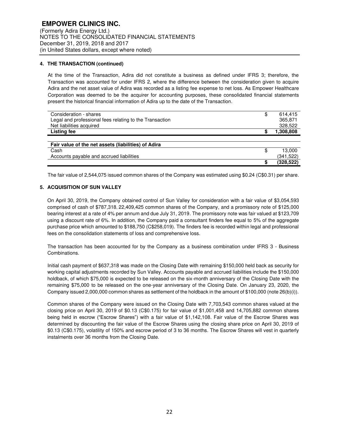## **4. THE TRANSACTION (continued)**

At the time of the Transaction, Adira did not constitute a business as defined under IFRS 3; therefore, the Transaction was accounted for under IFRS 2, where the difference between the consideration given to acquire Adira and the net asset value of Adira was recorded as a listing fee expense to net loss. As Empower Healthcare Corporation was deemed to be the acquirer for accounting purposes, these consolidated financial statements present the historical financial information of Adira up to the date of the Transaction.

| Consideration - shares                                  | \$ | 614.415    |
|---------------------------------------------------------|----|------------|
| Legal and professional fees relating to the Transaction |    | 365,871    |
| Net liabilities acquired                                |    | 328,522    |
| <b>Listing fee</b>                                      | S  | 1,308,808  |
|                                                         |    |            |
| Fair value of the net assets (liabilities) of Adira     |    |            |
| Cash                                                    | \$ | 13.000     |
| Accounts payable and accrued liabilities                |    | (341, 522) |
|                                                         |    | (328, 522) |

The fair value of 2,544,075 issued common shares of the Company was estimated using \$0.24 (C\$0.31) per share.

## **5. ACQUISITION OF SUN VALLEY**

On April 30, 2019, the Company obtained control of Sun Valley for consideration with a fair value of \$3,054,593 comprised of cash of \$787,318, 22,409,425 common shares of the Company, and a promissory note of \$125,000 bearing interest at a rate of 4% per annum and due July 31, 2019. The promissory note was fair valued at \$123,709 using a discount rate of 6%. In addition, the Company paid a consultant finders fee equal to 5% of the aggregate purchase price which amounted to \$188,750 (C\$258,019). The finders fee is recorded within legal and professional fees on the consolidation statements of loss and comprehensive loss.

The transaction has been accounted for by the Company as a business combination under IFRS 3 - Business Combinations.

Initial cash payment of \$637,318 was made on the Closing Date with remaining \$150,000 held back as security for working capital adjustments recorded by Sun Valley. Accounts payable and accrued liabilities include the \$150,000 holdback, of which \$75,000 is expected to be released on the six-month anniversary of the Closing Date with the remaining \$75,000 to be released on the one-year anniversary of the Closing Date. On January 23, 2020, the Company issued 2,000,000 common shares as settlement of the holdback in the amount of \$100,000 (note 26(b)(i)).

Common shares of the Company were issued on the Closing Date with 7,703,543 common shares valued at the closing price on April 30, 2019 of \$0.13 (C\$0.175) for fair value of \$1,001,458 and 14,705,882 common shares being held in escrow ("Escrow Shares") with a fair value of \$1,142,108. Fair value of the Escrow Shares was determined by discounting the fair value of the Escrow Shares using the closing share price on April 30, 2019 of \$0.13 (C\$0.175), volatility of 150% and escrow period of 3 to 36 months. The Escrow Shares will vest in quarterly instalments over 36 months from the Closing Date.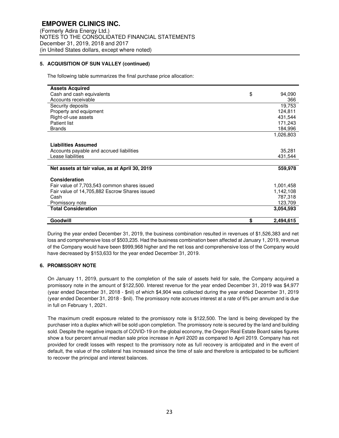## **5. ACQUISITION OF SUN VALLEY (continued)**

The following table summarizes the final purchase price allocation:

| <b>Assets Acquired</b>                         |                 |
|------------------------------------------------|-----------------|
| Cash and cash equivalents                      | \$<br>94,090    |
| Accounts receivable                            | 366             |
| Security deposits                              | 19,753          |
| Property and equipment                         | 124,811         |
| Right-of-use assets                            | 431.544         |
| <b>Patient list</b>                            | 171,243         |
| <b>Brands</b>                                  | 184,996         |
|                                                | 1,026,803       |
|                                                |                 |
| <b>Liabilities Assumed</b>                     |                 |
| Accounts payable and accrued liabilities       | 35,281          |
| Lease liabilities                              | 431,544         |
|                                                |                 |
| Net assets at fair value, as at April 30, 2019 | 559,978         |
|                                                |                 |
| Consideration                                  |                 |
| Fair value of 7,703,543 common shares issued   | 1,001,458       |
| Fair value of 14,705,882 Escrow Shares issued  | 1,142,108       |
| Cash                                           | 787,318         |
| Promissory note                                | 123,709         |
| <b>Total Consideration</b>                     | 3.054.593       |
|                                                |                 |
| Goodwill                                       | \$<br>2,494,615 |

During the year ended December 31, 2019, the business combination resulted in revenues of \$1,526,383 and net loss and comprehensive loss of \$503,235. Had the business combination been affected at January 1, 2019, revenue of the Company would have been \$999,968 higher and the net loss and comprehensive loss of the Company would have decreased by \$153,633 for the year ended December 31, 2019.

#### **6. PROMISSORY NOTE**

On January 11, 2019, pursuant to the completion of the sale of assets held for sale, the Company acquired a promissory note in the amount of \$122,500. Interest revenue for the year ended December 31, 2019 was \$4,977 (year ended December 31, 2018 - \$nil) of which \$4,904 was collected during the year ended December 31, 2019 (year ended December 31, 2018 - \$nil). The promissory note accrues interest at a rate of 6% per annum and is due in full on February 1, 2021.

The maximum credit exposure related to the promissory note is \$122,500. The land is being developed by the purchaser into a duplex which will be sold upon completion. The promissory note is secured by the land and building sold. Despite the negative impacts of COVID-19 on the global economy, the Oregon Real Estate Board sales figures show a four percent annual median sale price increase in April 2020 as compared to April 2019. Company has not provided for credit losses with respect to the promissory note as full recovery is anticipated and in the event of default, the value of the collateral has increased since the time of sale and therefore is anticipated to be sufficient to recover the principal and interest balances.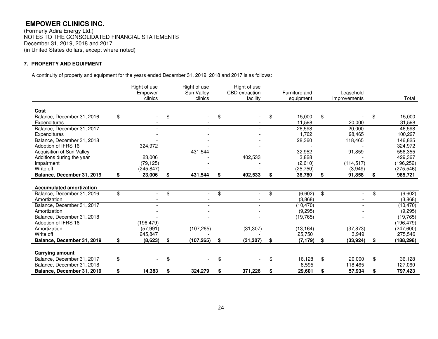(Formerly Adira Energy Ltd.) NOTES TO THE CONSOLIDATED FINANCIAL STATEMENTS December 31, 2019, 2018 and 2017 (in United States dollars, except where noted)

## **7. PROPERTY AND EQUIPMENT**

A continuity of property and equipment for the years ended December 31, 2019, 2018 and 2017 is as follows:

|                                                          | Right of use<br>Empower        | Right of use<br>Sun Valley | Right of use<br><b>CBD</b> extraction | Furniture and            | Leasehold               |                          |
|----------------------------------------------------------|--------------------------------|----------------------------|---------------------------------------|--------------------------|-------------------------|--------------------------|
|                                                          | clinics                        | clinics                    | facility                              | equipment                | improvements            | Total                    |
| Cost                                                     |                                |                            |                                       |                          |                         |                          |
| Balance, December 31, 2016<br><b>Expenditures</b>        | \$                             | \$                         | \$                                    | \$<br>15,000<br>11,598   | \$<br>20,000            | \$<br>15,000<br>31,598   |
| Balance, December 31, 2017<br>Expenditures               |                                |                            |                                       | 26,598<br>1,762          | 20,000<br>98,465        | 46,598<br>100,227        |
| Balance, December 31, 2018<br>Adoption of IFRS 16        | 324,972                        |                            |                                       | 28,360                   | 118,465                 | 146,825<br>324,972       |
| Acquisition of Sun Valley<br>Additions during the year   | 23,006                         | 431,544                    | 402,533                               | 32,952<br>3,828          | 91,859                  | 556,355<br>429,367       |
| Impairment<br>Write off                                  | (79, 125)<br>(245, 847)        |                            |                                       | (2,610)<br>(25, 750)     | (114, 517)<br>(3,949)   | (196,252)<br>(275, 546)  |
| Balance, December 31, 2019                               | \$<br>23,006                   | \$<br>431,544              | \$<br>402,533                         | \$<br>36,780             | \$<br>91,858            | \$<br>985,721            |
| <b>Accumulated amortization</b>                          |                                |                            |                                       |                          |                         |                          |
| Balance, December 31, 2016<br>Amortization               | \$                             | \$                         | \$                                    | \$<br>(6,602)<br>(3,868) | \$                      | \$<br>(6,602)<br>(3,868) |
| Balance, December 31, 2017<br>Amortization               |                                |                            |                                       | (10, 470)<br>(9, 295)    |                         | (10, 470)<br>(9, 295)    |
| Balance, December 31, 2018<br>Adoption of IFRS 16        | (196, 479)                     |                            |                                       | (19, 765)                |                         | (19, 765)<br>(196, 479)  |
| Amortization<br>Write off                                | (57, 991)<br>245,847           | (107, 265)                 | (31, 307)                             | (13, 164)<br>25,750      | (37, 873)<br>3,949      | (247, 600)<br>275,546    |
| Balance, December 31, 2019                               | \$<br>(8,623)                  | \$<br>(107, 265)           | \$<br>(31, 307)                       | \$<br>(7, 179)           | \$<br>(33, 924)         | \$<br>(188, 298)         |
| <b>Carrying amount</b>                                   |                                |                            |                                       |                          |                         |                          |
| Balance, December 31, 2017                               | \$<br>$\overline{\phantom{a}}$ | \$                         | \$                                    | \$<br>16,128             | \$<br>20,000            | \$<br>36,128             |
| Balance, December 31, 2018<br>Balance, December 31, 2019 | \$<br>14,383                   | \$<br>324,279              | \$<br>371,226                         | \$<br>8,595<br>29,601    | \$<br>118,465<br>57,934 | \$<br>127,060<br>797,423 |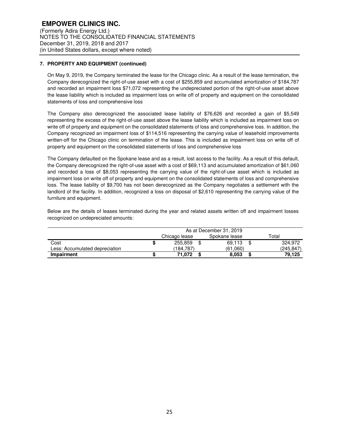## **7. PROPERTY AND EQUIPMENT (continued)**

On May 9, 2019, the Company terminated the lease for the Chicago clinic. As a result of the lease termination, the Company derecognized the right-of-use asset with a cost of \$255,859 and accumulated amortization of \$184,787 and recorded an impairment loss \$71,072 representing the undepreciated portion of the right-of-use asset above the lease liability which is included as impairment loss on write off of property and equipment on the consolidated statements of loss and comprehensive loss

The Company also derecognized the associated lease liability of \$76,626 and recorded a gain of \$5,549 representing the excess of the right-of-use asset above the lease liability which is included as impairment loss on write off of property and equipment on the consolidated statements of loss and comprehensive loss. In addition, the Company recognized an impairment loss of \$114,516 representing the carrying value of leasehold improvements written-off for the Chicago clinic on termination of the lease. This is included as impairment loss on write off of property and equipment on the consolidated statements of loss and comprehensive loss

The Company defaulted on the Spokane lease and as a result, lost access to the facility. As a result of this default, the Company derecognized the right-of-use asset with a cost of \$69,113 and accumulated amortization of \$61,060 and recorded a loss of \$8,053 representing the carrying value of the right-of-use asset which is included as impairment loss on write off of property and equipment on the consolidated statements of loss and comprehensive loss. The lease liability of \$9,700 has not been derecognized as the Company negotiates a settlement with the landlord of the facility. In addition, recognized a loss on disposal of \$2,610 representing the carrying value of the furniture and equipment.

Below are the details of leases terminated during the year and related assets written off and impairment losses recognized on undepreciated amounts:

|                                |               | As at December 31, 2019 |               |           |
|--------------------------------|---------------|-------------------------|---------------|-----------|
|                                | Chicago lease |                         | Spokane lease | Total     |
| Cost                           | 255,859       |                         | 69.113        | 324.972   |
| Less: Accumulated depreciation | (184.787)     |                         | (61.060)      | (245,847) |
| Impairment                     | 71.072        |                         | 8.053         | 79,125    |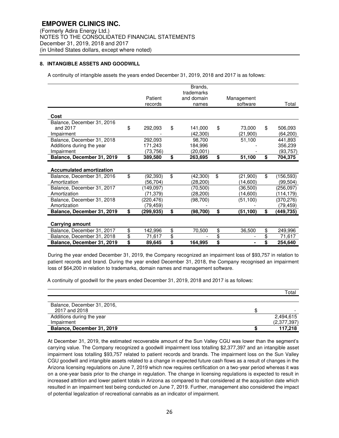## **8. INTANGIBLE ASSETS AND GOODWILL**

A continuity of intangible assets the years ended December 31, 2019, 2018 and 2017 is as follows:

|                                                                       |          | Patient<br>records              |                               | Brands,<br>trademarks<br>and domain<br>names |          | Management<br>software |          | Total                          |
|-----------------------------------------------------------------------|----------|---------------------------------|-------------------------------|----------------------------------------------|----------|------------------------|----------|--------------------------------|
| Cost                                                                  |          |                                 |                               |                                              |          |                        |          |                                |
| Balance, December 31, 2016<br>and 2017<br>Impairment                  | \$       | 292,093                         | \$                            | 141,000<br>(42.300)                          | \$       | 73.000<br>(21,900)     | \$       | 506.093<br>(64, 200)           |
| Balance, December 31, 2018<br>Additions during the year<br>Impairment |          | 292,093<br>171.243<br>(73, 756) |                               | 98.700<br>184,996<br>(20,001)                |          | 51,100                 |          | 441,893<br>356,239<br>(93,757) |
| Balance, December 31, 2019                                            | \$       | 389,580                         | \$                            | 263,695                                      | \$       | 51,100                 | \$       | 704,375                        |
| <b>Accumulated amortization</b>                                       |          |                                 |                               |                                              |          |                        |          |                                |
| Balance, December 31, 2016<br>Amortization                            | \$       | (92, 393)<br>(56.704)           | \$                            | (42,300)<br>(28,200)                         | \$       | (21,900)<br>(14,600)   | \$       | (156,593)<br>(99,504)          |
| Balance, December 31, 2017<br>Amortization                            |          | (149, 097)<br>(71,379)          |                               | (70, 500)<br>(28,200)                        |          | (36,500)<br>(14,600)   |          | (256, 097)<br>(114,179)        |
| Balance, December 31, 2018<br>Amortization                            |          | (220,476)<br>(79,459)           |                               | (98,700)                                     |          | (51, 100)              |          | (370,276)<br>(79,459)          |
| Balance, December 31, 2019                                            | \$       | (299,935)                       | \$                            | (98, 700)                                    | \$       | (51,100)               | \$       | (449,735)                      |
| Carrying amount                                                       |          |                                 |                               |                                              |          |                        |          |                                |
| Balance, December 31, 2017                                            | \$       | 142,996                         | \$                            | 70,500                                       | \$       | 36,500                 | \$       | 249,996                        |
| Balance, December 31, 2018<br>Balance, December 31, 2019              | \$<br>\$ | 71,617<br>89,645                | $\overline{\mathbf{S}}$<br>\$ | 164,995                                      | \$<br>\$ |                        | \$<br>\$ | 71.617<br>254,640              |

During the year ended December 31, 2019, the Company recognized an impairment loss of \$93,757 in relation to patient records and brand. During the year ended December 31, 2018, the Company recognised an impairment loss of \$64,200 in relation to trademarks, domain names and management software.

A continuity of goodwill for the years ended December 31, 2019, 2018 and 2017 is as follows:

|                             | Total       |
|-----------------------------|-------------|
|                             |             |
| Balance, December 31, 2016, |             |
| 2017 and 2018               |             |
| Additions during the year   | 2,494,615   |
| Impairment                  | (2,377,397) |
| Balance, December 31, 2019  | 117.218     |

At December 31, 2019, the estimated recoverable amount of the Sun Valley CGU was lower than the segment's carrying value. The Company recognized a goodwill impairment loss totalling \$2,377,397 and an intangible asset impairment loss totalling \$93,757 related to patient records and brands. The impairment loss on the Sun Valley CGU goodwill and intangible assets related to a change in expected future cash flows as a result of changes in the Arizona licensing regulations on June 7, 2019 which now requires certification on a two-year period whereas it was on a one-year basis prior to the change in regulation. The change in licensing regulations is expected to result in increased attrition and lower patient totals in Arizona as compared to that considered at the acquisition date which resulted in an impairment test being conducted on June 7, 2019. Further, management also considered the impact of potential legalization of recreational cannabis as an indicator of impairment.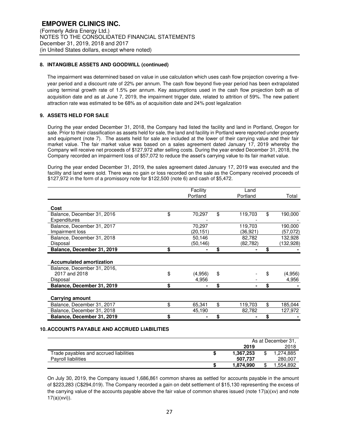## **8. INTANGIBLE ASSETS AND GOODWILL (continued)**

The impairment was determined based on value in use calculation which uses cash flow projection covering a fiveyear period and a discount rate of 22% per annum. The cash flow beyond five-year period has been extrapolated using terminal growth rate of 1.5% per annum. Key assumptions used in the cash flow projection both as of acquisition date and as at June 7, 2019, the impairment trigger date, related to attrition of 59%. The new patient attraction rate was estimated to be 68% as of acquisition date and 24% post legalization

## **9. ASSETS HELD FOR SALE**

During the year ended December 31, 2018, the Company had listed the facility and land in Portland, Oregon for sale. Prior to their classification as assets held for sale, the land and facility in Portland were reported under property and equipment (note 7). The assets held for sale are included at the lower of their carrying value and their fair market value. The fair market value was based on a sales agreement dated January 17, 2019 whereby the Company will receive net proceeds of \$127,972 after selling costs. During the year ended December 31, 2018, the Company recorded an impairment loss of \$57,072 to reduce the asset's carrying value to its fair market value.

During the year ended December 31, 2019, the sales agreement dated January 17, 2019 was executed and the facility and land were sold. There was no gain or loss recorded on the sale as the Company received proceeds of \$127,972 in the form of a promissory note for \$122,500 (note 6) and cash of \$5,472.

|                                 | Facility      | Land          |               |
|---------------------------------|---------------|---------------|---------------|
|                                 | Portland      | Portland      | Total         |
| Cost                            |               |               |               |
| Balance, December 31, 2016      | \$<br>70,297  | \$<br>119,703 | \$<br>190,000 |
| Expenditures                    |               |               |               |
| Balance, December 31, 2017      | 70,297        | 119,703       | 190,000       |
| Impairment loss                 | (20,151)      | (36,921)      | (57,072)      |
| Balance, December 31, 2018      | 50,146        | 82,782        | 132,928       |
| Disposal                        | (50,146)      | (82,782)      | (132,928)     |
| Balance, December 31, 2019      | \$            | \$            | \$            |
|                                 |               |               |               |
| <b>Accumulated amortization</b> |               |               |               |
| Balance, December 31, 2016,     |               |               |               |
| 2017 and 2018                   | \$<br>(4,956) | \$            | \$<br>(4,956) |
| Disposal                        | 4,956         |               | 4,956         |
| Balance, December 31, 2019      | \$            | \$            | \$            |
|                                 |               |               |               |
| <b>Carrying amount</b>          |               |               |               |
| Balance, December 31, 2017      | \$<br>65,341  | \$<br>119,703 | \$<br>185,044 |
| Balance, December 31, 2018      | 45,190        | 82,782        | 127,972       |
| Balance, December 31, 2019      | \$            | \$            | \$            |
|                                 |               |               |               |

#### **10. ACCOUNTS PAYABLE AND ACCRUED LIABILITIES**

|                                        | As at December 31. |  |          |  |  |
|----------------------------------------|--------------------|--|----------|--|--|
|                                        | 2019               |  | 2018     |  |  |
| Trade payables and accrued liabilities | 1.367.253          |  | .274.885 |  |  |
| <b>Payroll liabilities</b>             | 507.737            |  | 280,007  |  |  |
|                                        | 1.874.990          |  | .554,892 |  |  |

On July 30, 2019, the Company issued 1,686,861 common shares as settled for accounts payable in the amount of \$223,283 (C\$294,019). The Company recorded a gain on debt settlement of \$15,130 representing the excess of the carrying value of the accounts payable above the fair value of common shares issued (note 17(a)(xv) and note 17(a)(xvi)).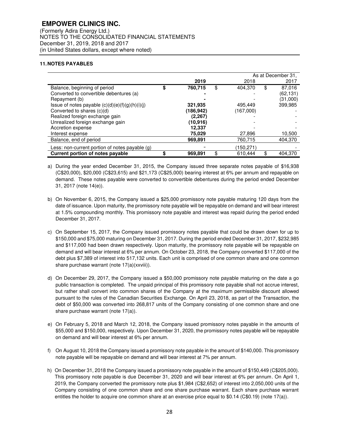(Formerly Adira Energy Ltd.) NOTES TO THE CONSOLIDATED FINANCIAL STATEMENTS December 31, 2019, 2018 and 2017 (in United States dollars, except where noted)

## **11. NOTES PAYABLES**

|                                                   | As at December 31, |    |            |    |           |  |
|---------------------------------------------------|--------------------|----|------------|----|-----------|--|
|                                                   | 2019               |    | 2018       |    | 2017      |  |
| Balance, beginning of period                      | \$<br>760,715      | \$ | 404.370    | \$ | 87,016    |  |
| Converted to convertible debentures (a)           |                    |    |            |    | (62, 131) |  |
| Repayment (b)                                     |                    |    |            |    | (31,000)  |  |
| Issue of notes payable $(c)(d)(e)(f)(g)(h)(i)(j)$ | 321.935            |    | 495,449    |    | 399,985   |  |
| Converted to shares (c)(d)                        | (186,942)          |    | (167,000)  |    |           |  |
| Realized foreign exchange gain                    | (2,267)            |    |            |    |           |  |
| Unrealized foreign exchange gain                  | (10,916)           |    |            |    |           |  |
| Accretion expense                                 | 12,337             |    |            |    |           |  |
| Interest expense                                  | 75.029             |    | 27,896     |    | 10,500    |  |
| Balance, end of period                            | 969.891            |    | 760.715    |    | 404.370   |  |
| Less: non-current portion of notes payable $(g)$  |                    |    | (150, 271) |    |           |  |
| Current portion of notes payable                  | 969,891            | \$ | 610.444    |    | 404.370   |  |

a) During the year ended December 31, 2015, the Company issued three separate notes payable of \$16,938 (C\$20,000), \$20,000 (C\$23,615) and \$21,173 (C\$25,000) bearing interest at 6% per annum and repayable on demand. These notes payable were converted to convertible debentures during the period ended December 31, 2017 (note 14(e)).

- b) On November 6, 2015, the Company issued a \$25,000 promissory note payable maturing 120 days from the date of issuance. Upon maturity, the promissory note payable will be repayable on demand and will bear interest at 1.5% compounding monthly. This promissory note payable and interest was repaid during the period ended December 31, 2017.
- c) On September 15, 2017, the Company issued promissory notes payable that could be drawn down for up to \$150,000 and \$75,000 maturing on December 31, 2017. During the period ended December 31, 2017, \$232,985 and \$117,000 had been drawn respectively. Upon maturity, the promissory note payable will be repayable on demand and will bear interest at 6% per annum. On October 23, 2018, the Company converted \$117,000 of the debt plus \$7,389 of interest into 517,132 units. Each unit is comprised of one common share and one common share purchase warrant (note 17(a)(xxviii)).
- d) On December 29, 2017, the Company issued a \$50,000 promissory note payable maturing on the date a go public transaction is completed. The unpaid principal of this promissory note payable shall not accrue interest, but rather shall convert into common shares of the Company at the maximum permissible discount allowed pursuant to the rules of the Canadian Securities Exchange. On April 23, 2018, as part of the Transaction, the debt of \$50,000 was converted into 268,817 units of the Company consisting of one common share and one share purchase warrant (note 17(a)).
- e) On February 5, 2018 and March 12, 2018, the Company issued promissory notes payable in the amounts of \$55,000 and \$150,000, respectively. Upon December 31, 2020, the promissory notes payable will be repayable on demand and will bear interest at 6% per annum.
- f) On August 10, 2018 the Company issued a promissory note payable in the amount of \$140,000. This promissory note payable will be repayable on demand and will bear interest at 7% per annum.
- h) On December 31, 2018 the Company issued a promissory note payable in the amount of \$150,449 (C\$205,000). This promissory note payable is due December 31, 2020 and will bear interest at 6% per annum. On April 1, 2019, the Company converted the promissory note plus \$1,984 (C\$2,652) of interest into 2,050,000 units of the Company consisting of one common share and one share purchase warrant. Each share purchase warrant entitles the holder to acquire one common share at an exercise price equal to \$0.14 (C\$0.19) (note 17(a)).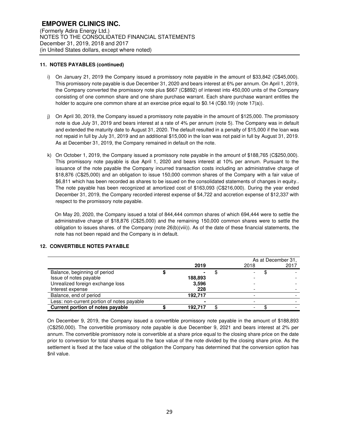## **11. NOTES PAYABLES (continued)**

- i) On January 21, 2019 the Company issued a promissory note payable in the amount of \$33,842 (C\$45,000). This promissory note payable is due December 31, 2020 and bears interest at 6% per annum. On April 1, 2019, the Company converted the promissory note plus \$667 (C\$892) of interest into 450,000 units of the Company consisting of one common share and one share purchase warrant. Each share purchase warrant entitles the holder to acquire one common share at an exercise price equal to \$0.14 (C\$0.19) (note 17(a)).
- j) On April 30, 2019, the Company issued a promissory note payable in the amount of \$125,000. The promissory note is due July 31, 2019 and bears interest at a rate of 4% per annum (note 5). The Company was in default and extended the maturity date to August 31, 2020. The default resulted in a penalty of \$15,000 if the loan was not repaid in full by July 31, 2019 and an additional \$15,000 in the loan was not paid in full by August 31, 2019. As at December 31, 2019, the Company remained in default on the note.
- k) On October 1, 2019, the Company issued a promissory note payable in the amount of \$188,765 (C\$250,000). This promissory note payable is due April 1, 2020 and bears interest at 10% per annum. Pursuant to the issuance of the note payable the Company incurred transaction costs including an administrative charge of \$18,876 (C\$25,000) and an obligation to issue 150,000 common shares of the Company with a fair value of \$6,811 which has been recorded as shares to be issued on the consolidated statements of changes in equity.. The note payable has been recognized at amortized cost of \$163,093 (C\$216,000). During the year ended December 31, 2019, the Company recorded interest expense of \$4,722 and accretion expense of \$12,337 with respect to the promissory note payable.

On May 20, 2020, the Company issued a total of 844,444 common shares of which 694,444 were to settle the administrative charge of \$18,876 (C\$25,000) and the remaining 150,000 common shares were to settle the obligation to issues shares. of the Company (note 26(b)(viii)). As of the date of these financial statements, the note has not been repaid and the Company is in default.

## **12. CONVERTIBLE NOTES PAYABLE**

|                                            |         |   | As at December 31. |  |      |
|--------------------------------------------|---------|---|--------------------|--|------|
|                                            | 2019    |   | 2018               |  | 2017 |
| Balance, beginning of period               |         | Œ |                    |  |      |
| Issue of notes payable                     | 188,893 |   |                    |  |      |
| Unrealized foreign exchange loss           | 3,596   |   |                    |  |      |
| Interest expense                           | 228     |   |                    |  |      |
| Balance, end of period                     | 192.717 |   |                    |  |      |
| Less: non-current portion of notes payable |         |   |                    |  |      |
| Current portion of notes payable           | 192.717 |   |                    |  |      |

On December 9, 2019, the Company issued a convertible promissory note payable in the amount of \$188,893 (C\$250,000). The convertible promissory note payable is due December 9, 2021 and bears interest at 2% per annum. The convertible promissory note is convertible at a share price equal to the closing share price on the date prior to conversion for total shares equal to the face value of the note divided by the closing share price. As the settlement is fixed at the face value of the obligation the Company has determined that the conversion option has \$nil value.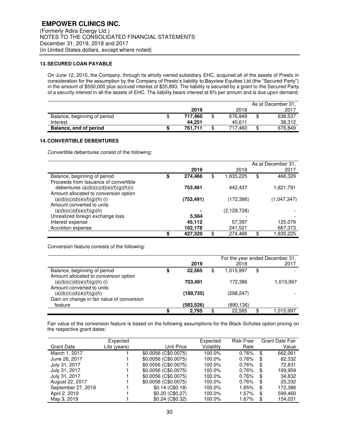## **13. SECURED LOAN PAYABLE**

On June 12, 2015, the Company, through its wholly owned subsidiary EHC, acquired all of the assets of Presto in consideration for the assumption by the Company of Presto's liability to Bayview Equities Ltd (the "Secured Party") in the amount of \$550,000 plus accrued interest of \$35,893. The liability is secured by a grant to the Secured Party of a security interest in all the assets of EHC. The liability bears interest at 6% per annum and is due upon demand.

|                              |         |         | As at December 31. |
|------------------------------|---------|---------|--------------------|
|                              | 2019    | 2018    | 2017               |
| Balance, beginning of period | 717.460 | 676.849 | \$<br>638.537      |
| Interest                     | 44.251  | 40.611  | 38.312             |
| Balance, end of period       | 761.711 | 717.460 | \$<br>676,849      |

## **14. CONVERTIBLE DEBENTURES**

Convertible debentures consist of the following:

|                                          |               |                 | As at December 31. |
|------------------------------------------|---------------|-----------------|--------------------|
|                                          | 2019          | 2018            | 2017               |
| Balance, beginning of period             | \$<br>274,466 | \$<br>1,835,225 | \$<br>468,329      |
| Proceeds from Issuance of convertible    |               |                 |                    |
| debentures $(a)(b)(c)(d)(e)(f)(g)(h)(i)$ | 753,491       | 442.437         | 1,621,791          |
| Amount allocated to conversion option    |               |                 |                    |
| $(a)(b)(c)(d)(e)(f)(g)(h)$ (i)           | (753, 491)    | (172,386)       | (1,047,347)        |
| Amount converted to units                |               |                 |                    |
| (a)(b)(c)(d)(e)(f)(g)(h)                 |               | (2, 129, 728)   |                    |
| Unrealized foreign exchange loss         | 5,564         |                 |                    |
| Interest expense                         | 45,112        | 57,397          | 125,079            |
| Accretion expense                        | 102,178       | 241,521         | 667,373            |
|                                          | \$<br>427,320 | 274.466         | \$<br>1,835,225    |

Conversion feature consists of the following:

|                                            |              |     |            | For the year ended December 31, |
|--------------------------------------------|--------------|-----|------------|---------------------------------|
|                                            | 2019         |     | 2018       | 2017                            |
| Balance, beginning of period               | \$<br>22,565 | \$  | 1.015.997  | \$                              |
| Amount allocated to conversion option      |              |     |            |                                 |
| $(a)(b)(c)(d)(e)(f)(g)(h)$ (i)             | 753.491      |     | 172.386    | 1,015,997                       |
| Amount converted to units                  |              |     |            |                                 |
| (a)(b)(c)(d)(e)(f)(g)(h)                   | (189,735)    |     | (298, 247) |                                 |
| Gain on change in fair value of conversion |              |     |            |                                 |
| feature                                    | (583,526)    |     | (890,136)  |                                 |
|                                            | 2.795        | \$. | 22.565     | \$<br>1,015,997                 |

Fair value of the conversion feature is based on the following assumptions for the Black-Scholes option pricing on the respective grant dates:

|                    | Expected     |                      | Expected   | Risk-Free | <b>Grant Date Fair</b> |
|--------------------|--------------|----------------------|------------|-----------|------------------------|
| Grant Date         | Life (years) | Unit Price           | Volatility | Rate      | Value                  |
| March 1, 2017      |              | \$0.0056 (C\$0.0075) | 100.0%     | 0.76%     | \$<br>662.061          |
| June 26, 2017      |              | \$0.0056 (C\$0.0075) | 100.0%     | 0.76%     | \$<br>82,332           |
| July 31, 2017      |              | \$0.0056 (C\$0.0075) | 100.0%     | 0.76%     | \$<br>72.831           |
| July 31, 2017      |              | \$0.0056 (C\$0.0075) | 100.0%     | 0.76%     | \$<br>169.959          |
| July 31, 2017      |              | \$0.0056 (C\$0.0075) | 100.0%     | $0.76\%$  | \$<br>34,832           |
| August 22, 2017    |              | \$0.0056 (C\$0.0075) | 100.0%     | $0.76\%$  | \$<br>25,332           |
| September 27, 2018 |              | $$0.14$ (C\$0.18)    | 100.0%     | 1.85%     | \$<br>172.386          |
| April 2, 2019      |              | \$0.20(C\$0.27)      | 100.0%     | 1.57%     | \$<br>599,460          |
| May 3, 2019        |              | \$0.24 (C\$0.32)     | 100.0%     | 1.67%     | \$<br>154.031          |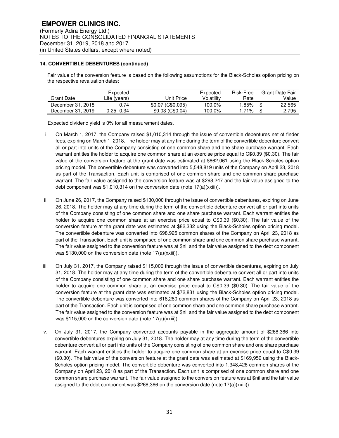## **14. CONVERTIBLE DEBENTURES (continued)**

Fair value of the conversion feature is based on the following assumptions for the Black-Scholes option pricing on the respective revaluation dates:

|                   | Expected     |                   | Expected   | Risk-Free | Grant Date Fair |
|-------------------|--------------|-------------------|------------|-----------|-----------------|
| Grant Date        | Life (years) | Unit Price        | Volatilitv | Rate      | Value           |
| December 31, 2018 | 0.74         | \$0.07 (C\$0.095) | 100.0%     | .85%      | 22,565          |
| December 31, 2019 | 0.25 -0.34   | $$0.03$ (C\$0.04) | 100.0%     | $.71\%$   | 2.795           |

Expected dividend yield is 0% for all measurement dates.

- i. On March 1, 2017, the Company raised \$1,010,314 through the issue of convertible debentures net of finder fees, expiring on March 1, 2018. The holder may at any time during the term of the convertible debenture convert all or part into units of the Company consisting of one common share and one share purchase warrant. Each warrant entitles the holder to acquire one common share at an exercise price equal to C\$0.39 (\$0.30). The fair value of the conversion feature at the grant date was estimated at \$662,061 using the Black-Scholes option pricing model. The convertible debenture was converted into 5,548,819 units of the Company on April 23, 2018 as part of the Transaction. Each unit is comprised of one common share and one common share purchase warrant. The fair value assigned to the conversion feature was at \$298,247 and the fair value assigned to the debt component was \$1,010,314 on the conversion date (note 17(a)(xxiii)).
- ii. On June 26, 2017, the Company raised \$130,000 through the issue of convertible debentures, expiring on June 26, 2018. The holder may at any time during the term of the convertible debenture convert all or part into units of the Company consisting of one common share and one share purchase warrant. Each warrant entitles the holder to acquire one common share at an exercise price equal to C\$0.39 (\$0.30). The fair value of the conversion feature at the grant date was estimated at \$82,332 using the Black-Scholes option pricing model. The convertible debenture was converted into 698,925 common shares of the Company on April 23, 2018 as part of the Transaction. Each unit is comprised of one common share and one common share purchase warrant. The fair value assigned to the conversion feature was at \$nil and the fair value assigned to the debt component was \$130,000 on the conversion date (note 17(a)(xxiii)).
- iii. On July 31, 2017, the Company raised \$115,000 through the issue of convertible debentures, expiring on July 31, 2018. The holder may at any time during the term of the convertible debenture convert all or part into units of the Company consisting of one common share and one share purchase warrant. Each warrant entitles the holder to acquire one common share at an exercise price equal to C\$0.39 (\$0.30). The fair value of the conversion feature at the grant date was estimated at \$72,831 using the Black-Scholes option pricing model. The convertible debenture was converted into 618,280 common shares of the Company on April 23, 2018 as part of the Transaction. Each unit is comprised of one common share and one common share purchase warrant. The fair value assigned to the conversion feature was at \$nil and the fair value assigned to the debt component was \$115,000 on the conversion date (note 17(a)(xxiii)).
- iv. On July 31, 2017, the Company converted accounts payable in the aggregate amount of \$268,366 into convertible debentures expiring on July 31, 2018. The holder may at any time during the term of the convertible debenture convert all or part into units of the Company consisting of one common share and one share purchase warrant. Each warrant entitles the holder to acquire one common share at an exercise price equal to C\$0.39 (\$0.30). The fair value of the conversion feature at the grant date was estimated at \$169,959 using the Black-Scholes option pricing model. The convertible debenture was converted into 1,348,426 common shares of the Company on April 23, 2018 as part of the Transaction. Each unit is comprised of one common share and one common share purchase warrant. The fair value assigned to the conversion feature was at \$nil and the fair value assigned to the debt component was \$268,366 on the conversion date (note 17(a)(xxiii)).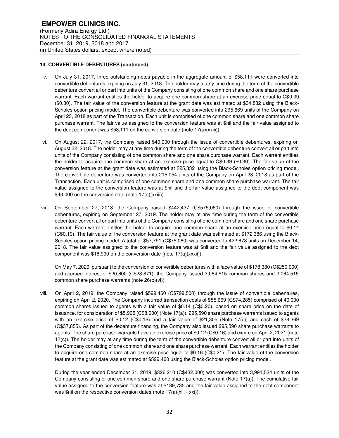## **14. CONVERTIBLE DEBENTURES (continued)**

- v. On July 31, 2017, three outstanding notes payable in the aggregate amount of \$58,111 were converted into convertible debentures expiring on July 31, 2018. The holder may at any time during the term of the convertible debenture convert all or part into units of the Company consisting of one common share and one share purchase warrant. Each warrant entitles the holder to acquire one common share at an exercise price equal to C\$0.39 (\$0.30). The fair value of the conversion feature at the grant date was estimated at \$34,832 using the Black-Scholes option pricing model. The convertible debenture was converted into 295,669 units of the Company on April 23, 2018 as part of the Transaction. Each unit is comprised of one common share and one common share purchase warrant. The fair value assigned to the conversion feature was at \$nil and the fair value assigned to the debt component was  $$58,111$  on the conversion date (note  $17(a)(xxiii)$ ).
- vi. On August 22, 2017, the Company raised \$40,000 through the issue of convertible debentures, expiring on August 22, 2018. The holder may at any time during the term of the convertible debenture convert all or part into units of the Company consisting of one common share and one share purchase warrant. Each warrant entitles the holder to acquire one common share at an exercise price equal to C\$0.39 (\$0.30). The fair value of the conversion feature at the grant date was estimated at \$25,332 using the Black-Scholes option pricing model. The convertible debenture was converted into 215,054 units of the Company on April 23, 2018 as part of the Transaction. Each unit is comprised of one common share and one common share purchase warrant. The fair value assigned to the conversion feature was at \$nil and the fair value assigned to the debt component was \$40,000 on the conversion date (note 17(a)(xxiii)).
- vii. On September 27, 2018, the Company raised \$442,437 (C\$575,060) through the issue of convertible debentures, expiring on September 27, 2019. The holder may at any time during the term of the convertible debenture convert all or part into units of the Company consisting of one common share and one share purchase warrant. Each warrant entitles the holder to acquire one common share at an exercise price equal to \$0.14 (C\$0.19). The fair value of the conversion feature at the grant date was estimated at \$172,386 using the Black-Scholes option pricing model. A total of \$57,791 (C\$75,060) was converted to 422,678 units on December 14, 2018. The fair value assigned to the conversion feature was at \$nil and the fair value assigned to the debt component was \$18,990 on the conversion date (note 17(a)(xxxii)).

On May 7, 2020, pursuant to the conversion of convertible debentures with a face value of \$178,380 (C\$250,000) and accrued interest of \$20,600 (C\$28,871), the Company issued 3,064,515 common shares and 3,064,515 common share purchase warrants (note 26(b)(vi)).

viii. On April 2, 2019, the Company raised \$599,460 (C\$799,500) through the issue of convertible debentures, expiring on April 2, 2020. The Company incurred transaction costs of \$55,669 (C\$74,285) comprised of 40,000 common shares issued to agents with a fair value of \$0.14 (C\$0.20), based on share price on the date of issuance, for consideration of \$5,995 (C\$8,000) (Note 17(a)), 295,590 share purchase warrants issued to agents with an exercise price of \$0.12 (C\$0.16) and a fair value of \$21,305 (Note 17(c)) and cash of \$28,369 (C\$37,855). As part of the debenture financing, the Company also issued 295,590 share purchase warrants to agents. The share purchase warrants have an exercise price of \$0.12 (C\$0.16) and expire on April 2, 2021 (note 17(c)). The holder may at any time during the term of the convertible debenture convert all or part into units of the Company consisting of one common share and one share purchase warrant. Each warrant entitles the holder to acquire one common share at an exercise price equal to \$0.16 (C\$0.21). The fair value of the conversion feature at the grant date was estimated at \$599,460 using the Black-Scholes option pricing model.

During the year ended December 31, 2019, \$326,210 (C\$432,000) was converted into 3,991,524 units of the Company consisting of one common share and one share purchase warrant (Note 17(a)). The cumulative fair value assigned to the conversion feature was at \$189,735 and the fair value assigned to the debt component was \$nil on the respective conversion dates (note 17(a)(xiii - xxi)).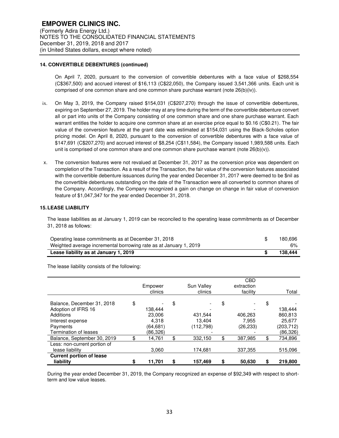## **14. CONVERTIBLE DEBENTURES (continued)**

On April 7, 2020, pursuant to the conversion of convertible debentures with a face value of \$268,554 (C\$367,500) and accrued interest of \$16,113 (C\$22,050), the Company issued 3,541,366 units. Each unit is comprised of one common share and one common share purchase warrant (note 26(b)(iv)).

- ix. On May 3, 2019, the Company raised \$154,031 (C\$207,270) through the issue of convertible debentures, expiring on September 27, 2019. The holder may at any time during the term of the convertible debenture convert all or part into units of the Company consisting of one common share and one share purchase warrant. Each warrant entitles the holder to acquire one common share at an exercise price equal to \$0.16 (C\$0.21). The fair value of the conversion feature at the grant date was estimated at \$154,031 using the Black-Scholes option pricing model. On April 8, 2020, pursuant to the conversion of convertible debentures with a face value of \$147,691 (C\$207,270) and accrued interest of \$8,254 (C\$11,584), the Company issued 1,989,588 units. Each unit is comprised of one common share and one common share purchase warrant (note  $26(b)(v)$ ).
- x. The conversion features were not revalued at December 31, 2017 as the conversion price was dependent on completion of the Transaction. As a result of the Transaction, the fair value of the conversion features associated with the convertible debenture issuances during the year ended December 31, 2017 were deemed to be \$nil as the convertible debentures outstanding on the date of the Transaction were all converted to common shares of the Company. Accordingly, the Company recognized a gain on change on change in fair value of conversion feature of \$1,047,347 for the year ended December 31, 2018.

## **15. LEASE LIABILITY**

The lease liabilities as at January 1, 2019 can be reconciled to the operating lease commitments as of December 31, 2018 as follows:

| Weighted average incremental borrowing rate as at January 1, 2019 | 6%      |
|-------------------------------------------------------------------|---------|
| Lease liability as at January 1, 2019                             | 138.444 |

The lease liability consists of the following:

|                                                                                                                                | Empower<br>clinics                                       |    | Sun Valley<br>clinics           | <b>CBD</b><br>extraction<br>facility |    | Total                                                   |
|--------------------------------------------------------------------------------------------------------------------------------|----------------------------------------------------------|----|---------------------------------|--------------------------------------|----|---------------------------------------------------------|
| Balance, December 31, 2018<br>Adoption of IFRS 16<br><b>Additions</b><br>Interest expense<br>Payments<br>Termination of leases | \$<br>138.444<br>23,006<br>4.318<br>(64,681)<br>(86,326) | \$ | 431,544<br>13.404<br>(112, 798) | \$<br>406,263<br>7.955<br>(26, 233)  | \$ | 138,444<br>860,813<br>25.677<br>(203, 712)<br>(86, 326) |
| Balance, September 30, 2019                                                                                                    | \$<br>14,761                                             | \$ | 332,150                         | \$<br>387.985                        | \$ | 734,896                                                 |
| Less: non-current portion of<br>lease liability                                                                                | 3,060                                                    |    | 174,681                         | 337,355                              |    | 515,096                                                 |
| <b>Current portion of lease</b><br>liability                                                                                   | 11,701                                                   | S  | 157,469                         | \$<br>50,630                         | S  | 219.800                                                 |

During the year ended December 31, 2019, the Company recognized an expense of \$92,349 with respect to shortterm and low value leases.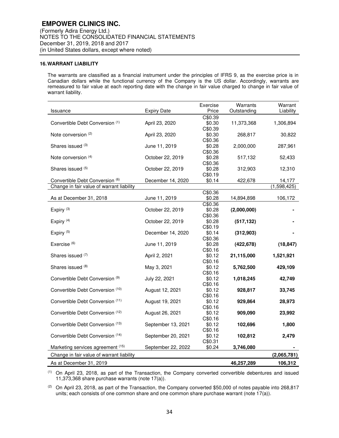## **16. WARRANT LIABILITY**

The warrants are classified as a financial instrument under the principles of IFRS 9, as the exercise price is in Canadian dollars while the functional currency of the Company is the US dollar. Accordingly, warrants are remeasured to fair value at each reporting date with the change in fair value charged to change in fair value of warrant liability.

| Issuance                                   | <b>Expiry Date</b> | Exercise<br>Price | Warrants<br>Outstanding | Warrant<br>Liability |
|--------------------------------------------|--------------------|-------------------|-------------------------|----------------------|
|                                            |                    | C\$0.39           |                         |                      |
| Convertible Debt Conversion (1)            | April 23, 2020     | \$0.30            | 11,373,368              | 1,306,894            |
|                                            |                    | C\$0.39           |                         |                      |
| Note conversion (2)                        | April 23, 2020     | \$0.30            | 268,817                 | 30,822               |
|                                            |                    | C\$0.36           |                         |                      |
| Shares issued (3)                          | June 11, 2019      | \$0.28            | 2,000,000               | 287,961              |
|                                            |                    | C\$0.36           |                         |                      |
| Note conversion (4)                        | October 22, 2019   | \$0.28            | 517,132                 | 52,433               |
|                                            |                    | C\$0.36           |                         |                      |
| Shares issued (5)                          | October 22, 2019   | \$0.28            | 312,903                 | 12,310               |
|                                            |                    | C\$0.19           |                         |                      |
| Convertible Debt Conversion (6)            | December 14, 2020  | \$0.14            | 422,678                 | 14,177               |
| Change in fair value of warrant liability  |                    |                   |                         | (1,598,425)          |
|                                            |                    | C\$0.36           |                         |                      |
| As at December 31, 2018                    | June 11, 2019      | \$0.28            | 14,894,898              | 106,172              |
|                                            |                    | C\$0.36           |                         |                      |
| Expiry <sup>(3)</sup>                      | October 22, 2019   | \$0.28            | (2,000,000)             |                      |
|                                            |                    | C\$0.36           |                         |                      |
| Expiry <sup>(4)</sup>                      | October 22, 2019   | \$0.28            | (517, 132)              |                      |
|                                            |                    | C\$0.19           |                         |                      |
| Expiry $(5)$                               | December 14, 2020  | \$0.14            | (312,903)               |                      |
|                                            |                    | C\$0.36           |                         |                      |
| Exercise <sup>(6)</sup>                    | June 11, 2019      | \$0.28            | (422, 678)              | (18, 847)            |
|                                            |                    | C\$0.16           |                         |                      |
| Shares issued (7)                          | April 2, 2021      | \$0.12            | 21,115,000              | 1,521,921            |
|                                            |                    | C\$0.16           |                         |                      |
| Shares issued (8)                          | May 3, 2021        | \$0.12            | 5,762,500               | 429,109              |
|                                            |                    | C\$0.16           |                         |                      |
| Convertible Debt Conversion <sup>(9)</sup> | July 22, 2021      | \$0.12            | 1,018,245               | 42,749               |
|                                            |                    | C\$0.16           |                         |                      |
| Convertible Debt Conversion (10)           | August 12, 2021    | \$0.12            | 928,817                 | 33,745               |
|                                            |                    | C\$0.16           |                         |                      |
| Convertible Debt Conversion (11)           | August 19, 2021    | \$0.12            | 929,864                 | 28,973               |
|                                            |                    | C\$0.16           |                         |                      |
| Convertible Debt Conversion (12)           | August 26, 2021    | \$0.12            | 909,090                 | 23,992               |
|                                            |                    | C\$0.16           |                         |                      |
| Convertible Debt Conversion (13)           | September 13, 2021 | \$0.12            | 102,696                 | 1,800                |
|                                            |                    | C\$0.16           |                         |                      |
| Convertible Debt Conversion (14)           | September 20, 2021 | \$0.12            | 102,812                 | 2,479                |
|                                            |                    | C\$0.31           |                         |                      |
| Marketing services agreement (15)          | September 22, 2022 | \$0.24            | 3,746,080               |                      |
| Change in fair value of warrant liability  |                    |                   |                         | (2,065,781)          |
| As at December 31, 2019                    |                    |                   | 46,257,289              | 106,312              |

(1) On April 23, 2018, as part of the Transaction, the Company converted convertible debentures and issued 11,373,368 share purchase warrants (note 17(a)).

 $(2)$  On April 23, 2018, as part of the Transaction, the Company converted \$50,000 of notes payable into 268,817 units; each consists of one common share and one common share purchase warrant (note  $17(a)$ ).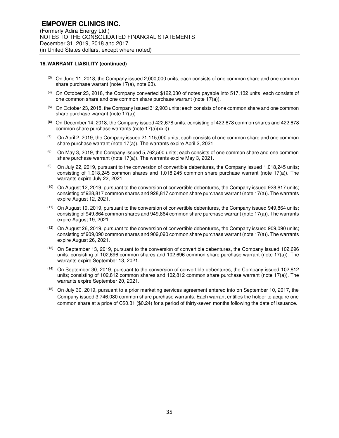#### **16. WARRANT LIABILITY (continued)**

- <sup>(3)</sup> On June 11, 2018, the Company issued 2,000,000 units; each consists of one common share and one common share purchase warrant (note 17(a), note 23).
- (4) On October 23, 2018, the Company converted \$122,030 of notes payable into 517,132 units; each consists of one common share and one common share purchase warrant (note 17(a)).
- $(5)$  On October 23, 2018, the Company issued 312,903 units; each consists of one common share and one common share purchase warrant (note 17(a)).
- **(6)** On December 14, 2018, the Company issued 422,678 units; consisting of 422,678 common shares and 422,678 common share purchase warrants (note 17(a)(xxii)).
- $(7)$  On April 2, 2019, the Company issued 21,115,000 units; each consists of one common share and one common share purchase warrant (note 17(a)). The warrants expire April 2, 2021
- (8) On May 3, 2019, the Company issued 5,762,500 units; each consists of one common share and one common share purchase warrant (note 17(a)). The warrants expire May 3, 2021.
- (9) On July 22, 2019, pursuant to the conversion of convertible debentures, the Company issued 1,018,245 units; consisting of 1,018,245 common shares and 1,018,245 common share purchase warrant (note 17(a)). The warrants expire July 22, 2021.
- $(10)$  On August 12, 2019, pursuant to the conversion of convertible debentures, the Company issued 928,817 units; consisting of 928,817 common shares and 928,817 common share purchase warrant (note 17(a)). The warrants expire August 12, 2021.
- $(11)$  On August 19, 2019, pursuant to the conversion of convertible debentures, the Company issued 949,864 units; consisting of 949,864 common shares and 949,864 common share purchase warrant (note 17(a)). The warrants expire August 19, 2021.
- (12) On August 26, 2019, pursuant to the conversion of convertible debentures, the Company issued 909,090 units; consisting of 909,090 common shares and 909,090 common share purchase warrant (note 17(a)). The warrants expire August 26, 2021.
- (13) On September 13, 2019, pursuant to the conversion of convertible debentures, the Company issued 102,696 units; consisting of 102,696 common shares and 102,696 common share purchase warrant (note 17(a)). The warrants expire September 13, 2021.
- (14) On September 30, 2019, pursuant to the conversion of convertible debentures, the Company issued 102,812 units; consisting of 102,812 common shares and 102,812 common share purchase warrant (note 17(a)). The warrants expire September 20, 2021.
- (15) On July 30, 2019, pursuant to a prior marketing services agreement entered into on September 10, 2017, the Company issued 3,746,080 common share purchase warrants. Each warrant entitles the holder to acquire one common share at a price of C\$0.31 (\$0.24) for a period of thirty-seven months following the date of issuance.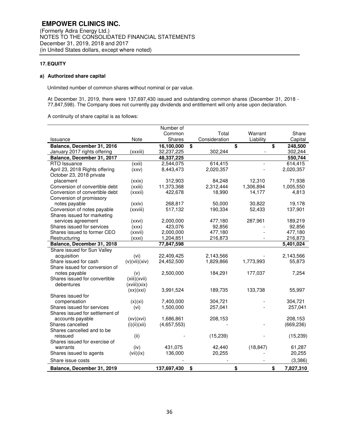## **17. EQUITY**

## **a) Authorized share capital**

Unlimited number of common shares without nominal or par value.

At December 31, 2019, there were 137,697,430 issued and outstanding common shares (December 31, 2018 - 77,847,598). The Company does not currently pay dividends and entitlement will only arise upon declaration.

A continuity of share capital is as follows:

|                                 |               | Number of   |               |           |                 |
|---------------------------------|---------------|-------------|---------------|-----------|-----------------|
|                                 |               | Common      | Total         | Warrant   | Share           |
| Issuance                        | Note          | Shares      | Consideration | Liability | Capital         |
| Balance, December 31, 2016      |               | 16,100,000  | \$            | \$        | \$<br>248,500   |
| January 2017 rights offering    | (xxxiii)      | 32,237,225  | 302,244       |           | 302,244         |
| Balance, December 31, 2017      |               | 48,337,225  |               |           | 550,744         |
| RTO Issuance                    | (xxi)         | 2,544,075   | 614,415       |           | 614,415         |
| April 23, 2018 Rights offering  | (xxV)         | 8,443,473   | 2,020,357     |           | 2,020,357       |
| October 23, 2018 private        |               |             |               |           |                 |
| placement                       | (xxix)        | 312,903     | 84,248        | 12,310    | 71,938          |
| Conversion of convertible debt  | (xxiii)       | 11,373,368  | 2,312,444     | 1,306,894 | 1,005,550       |
| Conversion of convertible debt  | (xxxii)       | 422,678     | 18,990        | 14,177    | 4,813           |
| Conversion of promissory        |               |             |               |           |                 |
| notes payable                   | (xxiv)        | 268,817     | 50,000        | 30,822    | 19,178          |
| Conversion of notes payable     | (xxviii)      | 517,132     | 190,334       | 52,433    | 137,901         |
| Shares issued for marketing     |               |             |               |           |                 |
| services agreement              | (xxvi)        | 2,000,000   | 477,180       | 287,961   | 189,219         |
| Shares issued for services      | (xxx)         | 423,076     | 92,856        |           | 92,856          |
| Shares issued to former CEO     | (xxvii)       | 2,000,000   | 477,180       |           | 477,180         |
| Restructuring                   | (xxxi)        | 1,204,851   | 216,873       |           | 216,873         |
| Balance, December 31, 2018      |               | 77,847,598  |               |           | 5,401,024       |
| Share issued for Sun Valley     |               |             |               |           |                 |
| acquisition                     | (vi)          | 22,409,425  | 2,143,566     |           | 2,143,566       |
| Share issued for cash           | (v)(vii)(xiv) | 24,452,500  | 1,829,866     | 1,773,993 | 55,873          |
| Share issued for conversion of  |               |             |               |           |                 |
| notes payable                   | (v)           | 2,500,000   | 184,291       | 177,037   | 7,254           |
| Shares issued for convertible   | (xiii)(xvii)  |             |               |           |                 |
| debentures                      | (xviii)(xix)  |             |               |           |                 |
|                                 | (xx)(xxi)     | 3,991,524   | 189,735       | 133,738   | 55,997          |
| Shares issued for               |               |             |               |           |                 |
| compensation                    | (x)(xi)       | 7,400,000   | 304.721       |           | 304,721         |
| Shares issued for services      | (vi)          | 1,500,000   | 257,041       |           | 257,041         |
| Shares issued for settlement of |               |             |               |           |                 |
| accounts payable                | (xv)(xvi)     | 1,686,861   | 208,153       |           | 208,153         |
| Shares cancelled                | (i)(ii)(xii)  | (4,657,553) |               |           | (669, 236)      |
| Shares cancelled and to be      |               |             |               |           |                 |
| reissued                        | (ii)          |             | (15, 239)     |           | (15, 239)       |
| Shares issued for exercise of   |               |             |               |           |                 |
| warrants                        | (iv)          | 431,075     | 42,440        | (18, 847) | 61,287          |
| Shares issued to agents         | (vii)(ix)     | 136,000     | 20,255        |           | 20,255          |
| Share issue costs               |               |             |               |           | (3,386)         |
| Balance, December 31, 2019      |               | 137,697,430 | \$            | \$        | \$<br>7,827,310 |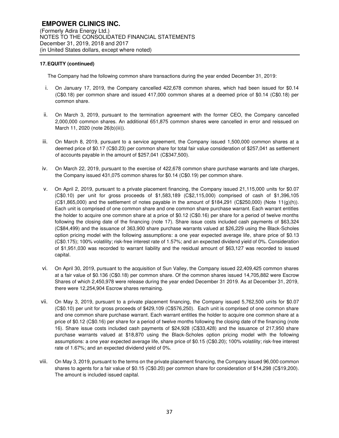The Company had the following common share transactions during the year ended December 31, 2019:

- i. On January 17, 2019, the Company cancelled 422,678 common shares, which had been issued for \$0.14 (C\$0.18) per common share and issued 417,000 common shares at a deemed price of \$0.14 (C\$0.18) per common share.
- ii. On March 3, 2019, pursuant to the termination agreement with the former CEO, the Company cancelled 2,000,000 common shares. An additional 651,875 common shares were cancelled in error and reissued on March 11, 2020 (note 26(b)(iii)).
- iii. On March 8, 2019, pursuant to a service agreement, the Company issued 1,500,000 common shares at a deemed price of \$0.17 (C\$0.23) per common share for total fair value consideration of \$257,041 as settlement of accounts payable in the amount of \$257,041 (C\$347,500).
- iv. On March 22, 2019, pursuant to the exercise of 422,678 common share purchase warrants and late charges, the Company issued 431,075 common shares for \$0.14 (C\$0.19) per common share.
- v. On April 2, 2019, pursuant to a private placement financing, the Company issued 21,115,000 units for \$0.07 (C\$0.10) per unit for gross proceeds of \$1,583,189 (C\$2,115,000) comprised of cash of \$1,396,105  $(C$1,865,000)$  and the settlement of notes payable in the amount of \$184,291 (C\$250,000) (Note 11(g)(h)). Each unit is comprised of one common share and one common share purchase warrant. Each warrant entitles the holder to acquire one common share at a price of \$0.12 (C\$0.16) per share for a period of twelve months following the closing date of the financing (note 17). Share issue costs included cash payments of \$63,324 (C\$84,499) and the issuance of 363,900 share purchase warrants valued at \$26,229 using the Black-Scholes option pricing model with the following assumptions: a one year expected average life, share price of \$0.13 (C\$0.175); 100% volatility; risk-free interest rate of 1.57%; and an expected dividend yield of 0%. Consideration of \$1,951,030 was recorded to warrant liability and the residual amount of \$63,127 was recorded to issued capital.
- vi. On April 30, 2019, pursuant to the acquisition of Sun Valley, the Company issued 22,409,425 common shares at a fair value of \$0.136 (C\$0.18) per common share. Of the common shares issued 14,705,882 were Escrow Shares of which 2,450,978 were release during the year ended December 31 2019. As at December 31, 2019, there were 12,254,904 Escrow shares remaining.
- vii. On May 3, 2019, pursuant to a private placement financing, the Company issued 5,762,500 units for \$0.07 (C\$0.10) per unit for gross proceeds of \$429,109 (C\$576,250). Each unit is comprised of one common share and one common share purchase warrant. Each warrant entitles the holder to acquire one common share at a price of \$0.12 (C\$0.16) per share for a period of twelve months following the closing date of the financing (note 16). Share issue costs included cash payments of \$24,928 (C\$33,428) and the issuance of 217,950 share purchase warrants valued at \$18,870 using the Black-Scholes option pricing model with the following assumptions: a one year expected average life, share price of \$0.15 (C\$0.20); 100% volatility; risk-free interest rate of 1.67%; and an expected dividend yield of 0%.
- viii. On May 3, 2019, pursuant to the terms on the private placement financing, the Company issued 96,000 common shares to agents for a fair value of \$0.15 (C\$0.20) per common share for consideration of \$14,298 (C\$19,200). The amount is included issued capital.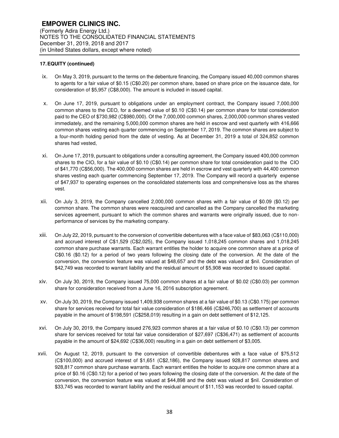- ix. On May 3, 2019, pursuant to the terms on the debenture financing, the Company issued 40,000 common shares to agents for a fair value of \$0.15 (C\$0.20) per common share, based on share price on the issuance date, for consideration of \$5,957 (C\$8,000). The amount is included in issued capital.
- x. On June 17, 2019, pursuant to obligations under an employment contract, the Company issued 7,000,000 common shares to the CEO, for a deemed value of \$0.10 (C\$0.14) per common share for total consideration paid to the CEO of \$730,982 (C\$980,000). Of the 7,000,000 common shares, 2,000,000 common shares vested immediately, and the remaining 5,000,000 common shares are held in escrow and vest quarterly with 416,666 common shares vesting each quarter commencing on September 17, 2019. The common shares are subject to a four-month holding period from the date of vesting. As at December 31, 2019 a total of 324,852 common shares had vested,
- xi. On June 17, 2019, pursuant to obligations under a consulting agreement, the Company issued 400,000 common shares to the CIO, for a fair value of \$0.10 (C\$0.14) per common share for total consideration paid to the CIO of \$41,770 (C\$56,000). The 400,000 common shares are held in escrow and vest quarterly with 44,400 common shares vesting each quarter commencing September 17, 2019. The Company will record a quarterly expense of \$47,937 to operating expenses on the consolidated statements loss and comprehensive loss as the shares vest.
- xii. On July 3, 2019, the Company cancelled 2,000,000 common shares with a fair value of \$0.09 (\$0.12) per common share. The common shares were reacquired and cancelled as the Company cancelled the marketing services agreement, pursuant to which the common shares and warrants were originally issued, due to nonperformance of services by the marketing company.
- xiii. On July 22, 2019, pursuant to the conversion of convertible debentures with a face value of \$83,063 (C\$110,000) and accrued interest of C\$1,529 (C\$2,025), the Company issued 1,018,245 common shares and 1,018,245 common share purchase warrants. Each warrant entitles the holder to acquire one common share at a price of C\$0.16 (\$0.12) for a period of two years following the closing date of the conversion. At the date of the conversion, the conversion feature was valued at \$48,657 and the debt was valued at \$nil. Consideration of \$42,749 was recorded to warrant liability and the residual amount of \$5,908 was recorded to issued capital.
- xiv. On July 30, 2019, the Company issued 75,000 common shares at a fair value of \$0.02 (C\$0.03) per common share for consideration received from a June 16, 2016 subscription agreement.
- xv. On July 30, 2019, the Company issued 1,409,938 common shares at a fair value of \$0.13 (C\$0.175) per common share for services received for total fair value consideration of \$186,466 (C\$246,700) as settlement of accounts payable in the amount of \$198,591 (C\$258,019) resulting in a gain on debt settlement of \$12,125.
- xvi. On July 30, 2019, the Company issued 276,923 common shares at a fair value of \$0.10 (C\$0.13) per common share for services received for total fair value consideration of \$27,697 (C\$36,471) as settlement of accounts payable in the amount of \$24,692 (C\$36,000) resulting in a gain on debt settlement of \$3,005.
- xvii. On August 12, 2019, pursuant to the conversion of convertible debentures with a face value of \$75,512 (C\$100,000) and accrued interest of \$1,651 (C\$2,186), the Company issued 928,817 common shares and 928,817 common share purchase warrants. Each warrant entitles the holder to acquire one common share at a price of \$0.16 (C\$0.12) for a period of two years following the closing date of the conversion. At the date of the conversion, the conversion feature was valued at \$44,898 and the debt was valued at \$nil. Consideration of \$33,745 was recorded to warrant liability and the residual amount of \$11,153 was recorded to issued capital.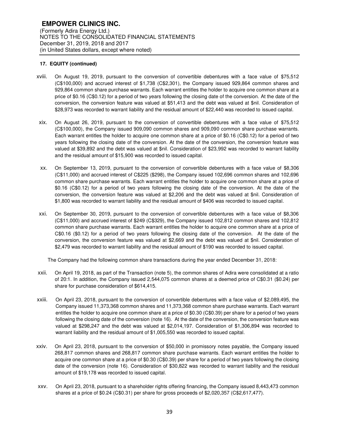- xviii. On August 19, 2019, pursuant to the conversion of convertible debentures with a face value of \$75,512 (C\$100,000) and accrued interest of \$1,738 (C\$2,301), the Company issued 929,864 common shares and 929,864 common share purchase warrants. Each warrant entitles the holder to acquire one common share at a price of \$0.16 (C\$0.12) for a period of two years following the closing date of the conversion. At the date of the conversion, the conversion feature was valued at \$51,413 and the debt was valued at \$nil. Consideration of \$28,973 was recorded to warrant liability and the residual amount of \$22,440 was recorded to issued capital.
- xix. On August 26, 2019, pursuant to the conversion of convertible debentures with a face value of \$75,512 (C\$100,000), the Company issued 909,090 common shares and 909,090 common share purchase warrants. Each warrant entitles the holder to acquire one common share at a price of \$0.16 (C\$0.12) for a period of two years following the closing date of the conversion. At the date of the conversion, the conversion feature was valued at \$39,892 and the debt was valued at \$nil. Consideration of \$23,992 was recorded to warrant liability and the residual amount of \$15,900 was recorded to issued capital.
- xx. On September 13, 2019, pursuant to the conversion of convertible debentures with a face value of \$8,306 (C\$11,000) and accrued interest of C\$225 (\$298), the Company issued 102,696 common shares and 102,696 common share purchase warrants. Each warrant entitles the holder to acquire one common share at a price of \$0.16 (C\$0.12) for a period of two years following the closing date of the conversion. At the date of the conversion, the conversion feature was valued at \$2,206 and the debt was valued at \$nil. Consideration of \$1,800 was recorded to warrant liability and the residual amount of \$406 was recorded to issued capital.
- xxi. On September 30, 2019, pursuant to the conversion of convertible debentures with a face value of \$8,306 (C\$11,000) and accrued interest of \$249 (C\$329), the Company issued 102,812 common shares and 102,812 common share purchase warrants. Each warrant entitles the holder to acquire one common share at a price of C\$0.16 (\$0.12) for a period of two years following the closing date of the conversion. At the date of the conversion, the conversion feature was valued at \$2,669 and the debt was valued at \$nil. Consideration of \$2,479 was recorded to warrant liability and the residual amount of \$190 was recorded to issued capital.

The Company had the following common share transactions during the year ended December 31, 2018:

- xxii. On April 19, 2018, as part of the Transaction (note 5), the common shares of Adira were consolidated at a ratio of 20:1. In addition, the Company issued 2,544,075 common shares at a deemed price of C\$0.31 (\$0.24) per share for purchase consideration of \$614,415.
- xxiii. On April 23, 2018, pursuant to the conversion of convertible debentures with a face value of \$2,089,495, the Company issued 11,373,368 common shares and 11,373,368 common share purchase warrants. Each warrant entitles the holder to acquire one common share at a price of \$0.30 (C\$0.39) per share for a period of two years following the closing date of the conversion (note 16). At the date of the conversion, the conversion feature was valued at \$298,247 and the debt was valued at \$2,014,197. Consideration of \$1,306,894 was recorded to warrant liability and the residual amount of \$1,005,550 was recorded to issued capital.
- xxiv. On April 23, 2018, pursuant to the conversion of \$50,000 in promissory notes payable, the Company issued 268,817 common shares and 268,817 common share purchase warrants. Each warrant entitles the holder to acquire one common share at a price of \$0.30 (C\$0.39) per share for a period of two years following the closing date of the conversion (note 16). Consideration of \$30,822 was recorded to warrant liability and the residual amount of \$19,178 was recorded to issued capital.
- xxv. On April 23, 2018, pursuant to a shareholder rights offering financing, the Company issued 8,443,473 common shares at a price of \$0.24 (C\$0.31) per share for gross proceeds of \$2,020,357 (C\$2,617,477).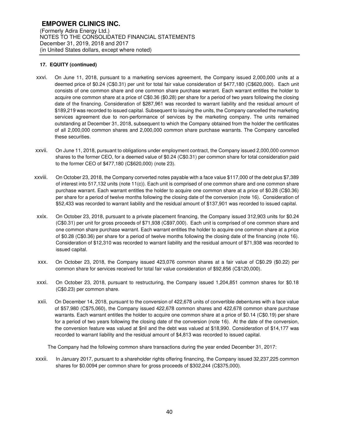- xxvi. On June 11, 2018, pursuant to a marketing services agreement, the Company issued 2,000,000 units at a deemed price of \$0.24 (C\$0.31) per unit for total fair value consideration of \$477,180 (C\$620,000). Each unit consists of one common share and one common share purchase warrant. Each warrant entitles the holder to acquire one common share at a price of C\$0.36 (\$0.28) per share for a period of two years following the closing date of the financing. Consideration of \$287,961 was recorded to warrant liability and the residual amount of \$189,219 was recorded to issued capital. Subsequent to issuing the units, the Company cancelled the marketing services agreement due to non-performance of services by the marketing company. The units remained outstanding at December 31, 2018, subsequent to which the Company obtained from the holder the certificates of all 2,000,000 common shares and 2,000,000 common share purchase warrants. The Company cancelled these securities.
- xxvii. On June 11, 2018, pursuant to obligations under employment contract, the Company issued 2,000,000 common shares to the former CEO, for a deemed value of \$0.24 (C\$0.31) per common share for total consideration paid to the former CEO of \$477,180 (C\$620,000) (note 23).
- xxviii. On October 23, 2018, the Company converted notes payable with a face value \$117,000 of the debt plus \$7,389 of interest into 517,132 units (note 11(c)). Each unit is comprised of one common share and one common share purchase warrant. Each warrant entitles the holder to acquire one common share at a price of \$0.28 (C\$0.36) per share for a period of twelve months following the closing date of the conversion (note 16). Consideration of \$52,433 was recorded to warrant liability and the residual amount of \$137,901 was recorded to issued capital.
- xxix. On October 23, 2018, pursuant to a private placement financing, the Company issued 312,903 units for \$0.24 (C\$0.31) per unit for gross proceeds of \$71,938 (C\$97,000). Each unit is comprised of one common share and one common share purchase warrant. Each warrant entitles the holder to acquire one common share at a price of \$0.28 (C\$0.36) per share for a period of twelve months following the closing date of the financing (note 16). Consideration of \$12,310 was recorded to warrant liability and the residual amount of \$71,938 was recorded to issued capital.
- xxx. On October 23, 2018, the Company issued 423,076 common shares at a fair value of C\$0.29 (\$0.22) per common share for services received for total fair value consideration of \$92,856 (C\$120,000).
- xxxi. On October 23, 2018, pursuant to restructuring, the Company issued 1,204,851 common shares for \$0.18 (C\$0.23) per common share.
- xxii. On December 14, 2018, pursuant to the conversion of 422,678 units of convertible debentures with a face value of \$57,980 (C\$75,060), the Company issued 422,678 common shares and 422,678 common share purchase warrants. Each warrant entitles the holder to acquire one common share at a price of \$0.14 (C\$0.19) per share for a period of two years following the closing date of the conversion (note 16). At the date of the conversion, the conversion feature was valued at \$nil and the debt was valued at \$18,990. Consideration of \$14,177 was recorded to warrant liability and the residual amount of \$4,813 was recorded to issued capital.

The Company had the following common share transactions during the year ended December 31, 2017:

xxxii. In January 2017, pursuant to a shareholder rights offering financing, the Company issued 32,237,225 common shares for \$0.0094 per common share for gross proceeds of \$302,244 (C\$375,000).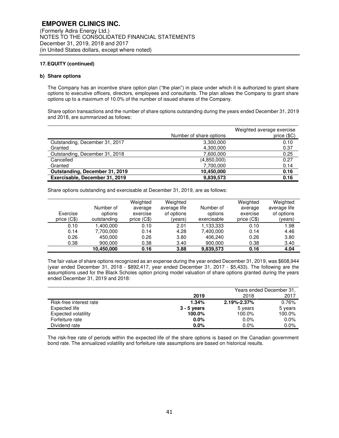### **b) Share options**

The Company has an incentive share option plan ("the plan") in place under which it is authorized to grant share options to executive officers, directors, employees and consultants. The plan allows the Company to grant share options up to a maximum of 10.0% of the number of issued shares of the Company.

Share option transactions and the number of share options outstanding during the years ended December 31, 2019 and 2018, are summarized as follows:

|                                | Number of share options | Weighted average exercise<br>price (\$C) |
|--------------------------------|-------------------------|------------------------------------------|
| Outstanding, December 31, 2017 | 3,300,000               | 0.10                                     |
| Granted                        | 4,300,000               | 0.37                                     |
| Outstanding, December 31, 2018 | 7.600.000               | 0.25                                     |
| Cancelled                      | (4,850,000)             | 0.27                                     |
| Granted                        | 7,700,000               | 0.14                                     |
| Outstanding, December 31, 2019 | 10,450,000              | 0.16                                     |
| Exercisable, December 31, 2019 | 9,839,573               | 0.16                                     |

Share options outstanding and exercisable at December 31, 2019, are as follows:

| Exercise<br>price $(C$)$ | Number of<br>options<br>outstanding | Weighted<br>average<br>exercise<br>price $(C$)$ | Weighted<br>average life<br>of options<br>(years) | Number of<br>options<br>exercisable | Weighted<br>average<br>exercise<br>price $(C$)$ | Weighted<br>average life<br>of options<br>(years) |
|--------------------------|-------------------------------------|-------------------------------------------------|---------------------------------------------------|-------------------------------------|-------------------------------------------------|---------------------------------------------------|
| 0.10                     | 1.400.000                           | 0.10                                            | 2.01                                              | 1,133,333                           | 0.10                                            | 1.98                                              |
| 0.14                     | 7.700.000                           | 0.14                                            | 4.28                                              | 7.400.000                           | 0.14                                            | 4.46                                              |
| 0.26                     | 450,000                             | 0.26                                            | 3.80                                              | 406.240                             | 0.26                                            | 3.80                                              |
| 0.38                     | 900,000                             | 0.38                                            | 3.40                                              | 900.000                             | 0.38                                            | 3.40                                              |
|                          | 10.450.000                          | 0.16                                            | 3.88                                              | 9,839,573                           | 0.16                                            | 4.04                                              |

The fair value of share options recognized as an expense during the year ended December 31, 2019, was \$608,944 (year ended December 31, 2018 - \$892,417, year ended December 31, 2017 - \$5,433). The following are the assumptions used for the Black Scholes option pricing model valuation of share options granted during the years ended December 31, 2019 and 2018:

|                         |               | Years ended December 31. |         |
|-------------------------|---------------|--------------------------|---------|
|                         | 2019          | 2018                     | 2017    |
| Risk-free interest rate | 1.34%         | $2.19\% - 2.37\%$        | 0.76%   |
| Expected life           | $3 - 5$ years | 5 years                  | 5 years |
| Expected volatility     | 100.0%        | 100.0%                   | 100.0%  |
| Forfeiture rate         | $0.0\%$       | $0.0\%$                  | 0.0%    |
| Dividend rate           | 0.0%          | $0.0\%$                  | 0.0%    |

The risk-free rate of periods within the expected life of the share options is based on the Canadian government bond rate. The annualized volatility and forfeiture rate assumptions are based on historical results.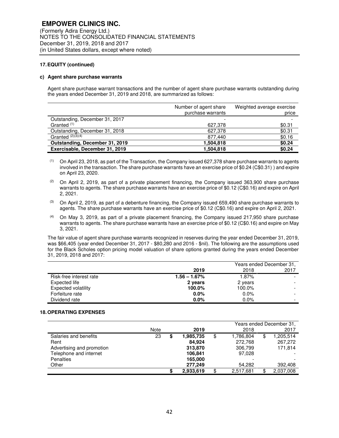#### **c) Agent share purchase warrants**

Agent share purchase warrant transactions and the number of agent share purchase warrants outstanding during the years ended December 31, 2019 and 2018, are summarized as follows:

|                                | Number of agent share<br>purchase warrants | Weighted average exercise<br>price |
|--------------------------------|--------------------------------------------|------------------------------------|
| Outstanding, December 31, 2017 |                                            |                                    |
| Granted <sup>(1)</sup>         | 627,378                                    | \$0.31                             |
| Outstanding, December 31, 2018 | 627,378                                    | \$0.31                             |
| Granted $(2)(3)$ $(4)$         | 877,440                                    | \$0.16                             |
| Outstanding, December 31, 2019 | 1,504,818                                  | \$0.24                             |
| Exercisable, December 31, 2019 | 1,504,818                                  | \$0.24                             |

- $(1)$  On April 23, 2018, as part of the Transaction, the Company issued 627,378 share purchase warrants to agents involved in the transaction. The share purchase warrants have an exercise price of \$0.24 (C\$0.31) ) and expire on April 23, 2020.
- (2) On April 2, 2019, as part of a private placement financing, the Company issued 363,900 share purchase warrants to agents. The share purchase warrants have an exercise price of \$0.12 (C\$0.16) and expire on April 2, 2021.
- $(3)$  On April 2, 2019, as part of a debenture financing, the Company issued 659,490 share purchase warrants to agents. The share purchase warrants have an exercise price of \$0.12 (C\$0.16) and expire on April 2, 2021.
- $(4)$  On May 3, 2019, as part of a private placement financing, the Company issued 217,950 share purchase warrants to agents. The share purchase warrants have an exercise price of \$0.12 (C\$0.16) and expire on May 3, 2021.

The fair value of agent share purchase warrants recognized in reserves during the year ended December 31, 2019, was \$66,405 (year ended December 31, 2017 - \$80,280 and 2016 - \$nil). The following are the assumptions used for the Black Scholes option pricing model valuation of share options granted during the years ended December 31, 2019, 2018 and 2017:

|                            |                 | Years ended December 31, |      |
|----------------------------|-----------------|--------------------------|------|
|                            | 2019            | 2018                     | 2017 |
| Risk-free interest rate    | $1.56 - 1.67\%$ | 1.87%                    |      |
| Expected life              | 2 years         | 2 years                  |      |
| <b>Expected volatility</b> | 100.0%          | 100.0%                   |      |
| Forfeiture rate            | $0.0\%$         | $0.0\%$                  |      |
| Dividend rate              | 0.0%            | $0.0\%$                  |      |

#### **18. OPERATING EXPENSES**

|                           | Years ended December 31, |  |           |    |           |    |           |
|---------------------------|--------------------------|--|-----------|----|-----------|----|-----------|
|                           | Note                     |  | 2019      |    | 2018      |    | 2017      |
| Salaries and benefits     | 23                       |  | 1,985,735 | \$ | 1,786,804 | \$ | 1,205,514 |
| Rent                      |                          |  | 84.924    |    | 272.768   |    | 267,272   |
| Advertising and promotion |                          |  | 313,870   |    | 306,799   |    | 171,814   |
| Telephone and internet    |                          |  | 106,841   |    | 97.028    |    |           |
| <b>Penalties</b>          |                          |  | 165,000   |    |           |    |           |
| Other                     |                          |  | 277.249   |    | 54.282    |    | 392,408   |
|                           |                          |  | 2,933,619 | \$ | 2,517,681 | \$ | 2,037,008 |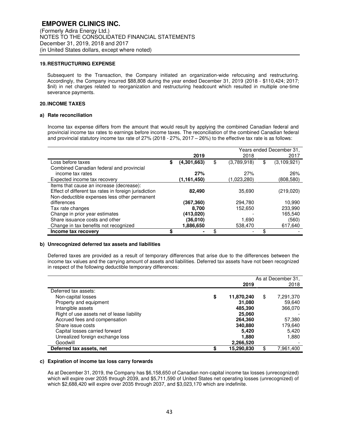#### **19. RESTRUCTURING EXPENSE**

Subsequent to the Transaction, the Company initiated an organization-wide refocusing and restructuring. Accordingly, the Company incurred \$88,808 during the year ended December 31, 2019 (2018 - \$110,424; 2017; \$nil) in net charges related to reorganization and restructuring headcount which resulted in multiple one-time severance payments.

## **20. INCOME TAXES**

#### **a) Rate reconciliation**

Income tax expense differs from the amount that would result by applying the combined Canadian federal and provincial income tax rates to earnings before income taxes. The reconciliation of the combined Canadian federal and provincial statutory income tax rate of 27% (2018 - 27%, 2017 – 26%) to the effective tax rate is as follows:

|                                                       | Years ended December 31, |    |             |    |             |
|-------------------------------------------------------|--------------------------|----|-------------|----|-------------|
|                                                       | 2019                     |    | 2018        |    | 2017        |
| Loss before taxes                                     | \$<br>(4,301,663)        | \$ | (3,789,918) | \$ | (3,109,921) |
| Combined Canadian federal and provincial              |                          |    |             |    |             |
| income tax rates                                      | 27%                      |    | 27%         |    | 26%         |
| Expected income tax recovery                          | (1,161,450)              |    | (1,023,280) |    | (808,580)   |
| Items that cause an increase (decrease):              |                          |    |             |    |             |
| Effect of different tax rates in foreign jurisdiction | 82,490                   |    | 35,690      |    | (219,020)   |
| Non-deductible expenses less other permanent          |                          |    |             |    |             |
| differences                                           | (367,360)                |    | 294,780     |    | 10,990      |
| Tax rate changes                                      | 8.700                    |    | 152,650     |    | 233.990     |
| Change in prior year estimates                        | (413,020)                |    |             |    | 165.540     |
| Share issuance costs and other                        | (36,010)                 |    | 1,690       |    | (560)       |
| Change in tax benefits not recognized                 | 1,886,650                |    | 538,470     |    | 617,640     |
| Income tax recovery                                   | \$                       |    |             |    |             |

#### **b) Unrecognized deferred tax assets and liabilities**

Deferred taxes are provided as a result of temporary differences that arise due to the differences between the income tax values and the carrying amount of assets and liabilities. Deferred tax assets have not been recognized in respect of the following deductible temporary differences:

|                                            |    |            | As at December 31, |
|--------------------------------------------|----|------------|--------------------|
|                                            |    | 2019       | 2018               |
| Deferred tax assets:                       |    |            |                    |
| Non-capital losses                         | \$ | 11,870,240 | \$<br>7,291,370    |
| Property and equipment                     |    | 31,080     | 59,640             |
| Intangible assets                          |    | 485,390    | 366,070            |
| Right of use assets net of lease liability |    | 25,060     |                    |
| Accrued fees and compensation              |    | 264,360    | 57,380             |
| Share issue costs                          |    | 340,880    | 179,640            |
| Capital losses carried forward             |    | 5.420      | 5,420              |
| Unrealized foreign exchange loss           |    | 1.880      | 1,880              |
| Goodwill                                   |    | 2,266,520  |                    |
| Deferred tax assets, net                   | ¢  | 15,290,830 | \$<br>7.961.400    |

#### **c) Expiration of income tax loss carry forwards**

As at December 31, 2019, the Company has \$6,158,650 of Canadian non-capital income tax losses (unrecognized) which will expire over 2035 through 2039, and \$5,711,590 of United States net operating losses (unrecognized) of which \$2,688,420 will expire over 2035 through 2037, and \$3,023,170 which are indefinite.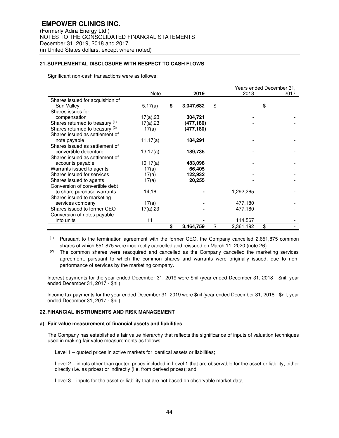## **21. SUPPLEMENTAL DISCLOSURE WITH RESPECT TO CASH FLOWS**

Significant non-cash transactions were as follows:

|                                  |              |    |            | Years ended December 31, |      |
|----------------------------------|--------------|----|------------|--------------------------|------|
|                                  | Note         |    | 2019       | 2018                     | 2017 |
| Shares issued for acquisition of |              |    |            |                          |      |
| Sun Valley                       | 5,17(a)      | \$ | 3,047,682  | \$                       | \$   |
| Shares issues for                |              |    |            |                          |      |
| compensation                     | $17(a)$ , 23 |    | 304,721    |                          |      |
| Shares returned to treasury (1)  | 17(a),23     |    | (477,180)  |                          |      |
| Shares returned to treasury (2)  | 17(a)        |    | (477, 180) |                          |      |
| Shares issued as settlement of   |              |    |            |                          |      |
| note payable                     | 11,17(a)     |    | 184,291    |                          |      |
| Shares issued as settlement of   |              |    |            |                          |      |
| convertible debenture            | 13,17(a)     |    | 189,735    |                          |      |
| Shares issued as settlement of   |              |    |            |                          |      |
| accounts payable                 | 10,17(a)     |    | 483,098    |                          |      |
| Warrants issued to agents        | 17(a)        |    | 66,405     |                          |      |
| Shares issued for services       | 17(a)        |    | 122,932    |                          |      |
| Shares issued to agents          | 17(a)        |    | 20,255     |                          |      |
| Conversion of convertible debt   |              |    |            |                          |      |
| to share purchase warrants       | 14,16        |    |            | 1,292,265                |      |
| Shares issued to marketing       |              |    |            |                          |      |
| services company                 | 17(a)        |    |            | 477,180                  |      |
| Shares issued to former CEO      | 17(a),23     |    |            | 477,180                  |      |
| Conversion of notes payable      |              |    |            |                          |      |
| into units                       | 11           |    |            | 114,567                  |      |
|                                  |              | \$ | 3,464,759  | \$<br>2,361,192          | \$   |

(1) Pursuant to the termination agreement with the former CEO, the Company cancelled 2,651,875 common shares of which 651,875 were incorrectly cancelled and reissued on March 11, 2020 (note 26).

 $(2)$  The common shares were reacquired and cancelled as the Company cancelled the marketing services agreement, pursuant to which the common shares and warrants were originally issued, due to nonperformance of services by the marketing company.

Interest payments for the year ended December 31, 2019 were \$nil (year ended December 31, 2018 - \$nil, year ended December 31, 2017 - \$nil).

Income tax payments for the year ended December 31, 2019 were \$nil (year ended December 31, 2018 - \$nil, year ended December 31, 2017 - \$nil).

#### **22. FINANCIAL INSTRUMENTS AND RISK MANAGEMENT**

#### **a) Fair value measurement of financial assets and liabilities**

The Company has established a fair value hierarchy that reflects the significance of inputs of valuation techniques used in making fair value measurements as follows:

Level 1 – quoted prices in active markets for identical assets or liabilities;

Level 2 – inputs other than quoted prices included in Level 1 that are observable for the asset or liability, either directly (i.e. as prices) or indirectly (i.e. from derived prices); and

Level 3 – inputs for the asset or liability that are not based on observable market data.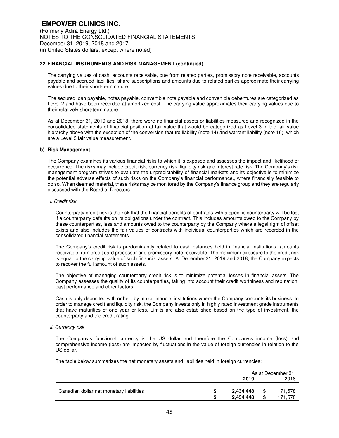### **22. FINANCIAL INSTRUMENTS AND RISK MANAGEMENT (continued)**

The carrying values of cash, accounts receivable, due from related parties, promissory note receivable, accounts payable and accrued liabilities, share subscriptions and amounts due to related parties approximate their carrying values due to their short-term nature.

The secured loan payable, notes payable, convertible note payable and convertible debentures are categorized as Level 2 and have been recorded at amortized cost. The carrying value approximates their carrying values due to their relatively short-term nature.

As at December 31, 2019 and 2018, there were no financial assets or liabilities measured and recognized in the consolidated statements of financial position at fair value that would be categorized as Level 3 in the fair value hierarchy above with the exception of the conversion feature liability (note 14) and warrant liability (note 16), which are a Level 3 fair value measurement.

#### **b) Risk Management**

The Company examines its various financial risks to which it is exposed and assesses the impact and likelihood of occurrence. The risks may include credit risk, currency risk, liquidity risk and interest rate risk. The Company's risk management program strives to evaluate the unpredictability of financial markets and its objective is to minimize the potential adverse effects of such risks on the Company's financial performance., where financially feasible to do so. When deemed material, these risks may be monitored by the Company's finance group and they are regularly discussed with the Board of Directors.

#### *i. Credit risk*

Counterparty credit risk is the risk that the financial benefits of contracts with a specific counterparty will be lost if a counterparty defaults on its obligations under the contract. This includes amounts owed to the Company by these counterparties, less and amounts owed to the counterparty by the Company where a legal right of offset exists and also includes the fair values of contracts with individual counterparties which are recorded in the consolidated financial statements.

The Company's credit risk is predominantly related to cash balances held in financial institutions, amounts receivable from credit card processor and promissory note receivable. The maximum exposure to the credit risk is equal to the carrying value of such financial assets. At December 31, 2019 and 2018, the Company expects to recover the full amount of such assets.

The objective of managing counterparty credit risk is to minimize potential losses in financial assets. The Company assesses the quality of its counterparties, taking into account their credit worthiness and reputation, past performance and other factors.

Cash is only deposited with or held by major financial institutions where the Company conducts its business. In order to manage credit and liquidity risk, the Company invests only in highly rated investment grade instruments that have maturities of one year or less. Limits are also established based on the type of investment, the counterparty and the credit rating.

#### *ii. Currency risk*

The Company's functional currency is the US dollar and therefore the Company's income (loss) and comprehensive income (loss) are impacted by fluctuations in the value of foreign currencies in relation to the US dollar.

The table below summarizes the net monetary assets and liabilities held in foreign currencies:

|                                          | As at December 31, |      |         |  |
|------------------------------------------|--------------------|------|---------|--|
|                                          | 2019               | 2018 |         |  |
|                                          |                    |      |         |  |
| Canadian dollar net monetary liabilities | 2,434,448          | S    | 171,578 |  |
|                                          | 2,434,448          | \$   | 71,578  |  |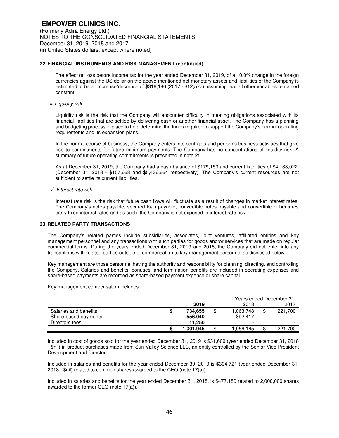## **22. FINANCIAL INSTRUMENTS AND RISK MANAGEMENT (continued)**

The effect on loss before income tax for the year ended December 31, 2019, of a 10.0% change in the foreign currencies against the US dollar on the above-mentioned net monetary assets and liabilities of the Company is estimated to be an increase/decrease of \$316,186 (2017 - \$12,577) assuming that all other variables remained constant.

## *iii.Liquidity risk*

Liquidity risk is the risk that the Company will encounter difficulty in meeting obligations associated with its financial liabilities that are settled by delivering cash or another financial asset. The Company has a planning and budgeting process in place to help determine the funds required to support the Company's normal operating requirements and its expansion plans.

In the normal course of business, the Company enters into contracts and performs business activities that give rise to commitments for future minimum payments. The Company has no concentrations of liquidity risk. A summary of future operating commitments is presented in note 25.

As at December 31, 2019, the Company had a cash balance of \$179,153 and current liabilities of \$4,183,022. (December 31, 2018 - \$157,668 and \$5,436,664 respectively). The Company's current resources are not sufficient to settle its current liabilities.

#### *vi. Interest rate risk*

Interest rate risk is the risk that future cash flows will fluctuate as a result of changes in market interest rates. The Company's notes payable, secured loan payable, convertible notes payable and convertible debentures carry fixed interest rates and as such, the Company is not exposed to interest rate risk.

#### **23. RELATED PARTY TRANSACTIONS**

The Company's related parties include subsidiaries, associates, joint ventures, affiliated entities and key management personnel and any transactions with such parties for goods and/or services that are made on regular commercial terms. During the years ended December 31, 2019 and 2018, the Company did not enter into any transactions with related parties outside of compensation to key management personnel as disclosed below.

Key management are those personnel having the authority and responsibility for planning, directing, and controlling the Company. Salaries and benefits, bonuses, and termination benefits are included in operating expenses and share-based payments are recorded as share-based payment expense or share capital.

Key management compensation includes:

|                       | Years ended December 31, |    |           |    |                          |
|-----------------------|--------------------------|----|-----------|----|--------------------------|
|                       | 2019                     |    | 2018      |    | 2017                     |
| Salaries and benefits | 734.655                  | \$ | 1,063,748 | \$ | 221.700                  |
| Share-based payments  | 556,040                  |    | 892.417   |    | $\overline{\phantom{0}}$ |
| Directors fees        | 11.250                   |    |           |    | $\overline{\phantom{0}}$ |
|                       | 1.301.945                | \$ | l.956.165 | \$ | 221.700                  |

Included in cost of goods sold for the year ended December 31, 2019 is \$31,609 (year ended December 31, 2018 - \$nil) in product purchases made from Sun Valley Science LLC, an entity controlled by the Senior Vice President Development and Director.

Included in salaries and benefits for the year ended December 30, 2019 is \$304,721 (year ended December 31, 2018 - \$nil) related to common shares awarded to the CEO (note 17(a)).

Included in salaries and benefits for the year ended December 31, 2018, is \$477,180 related to 2,000,000 shares awarded to the former CEO (note 17(a)).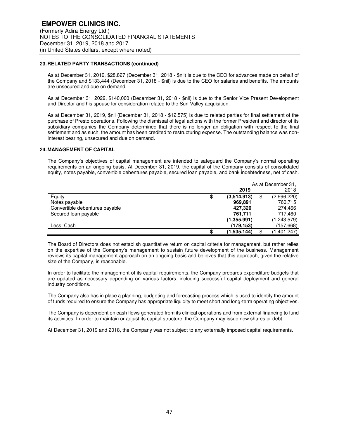## **23. RELATED PARTY TRANSACTIONS (continued)**

As at December 31, 2019, \$28,827 (December 31, 2018 - \$nil) is due to the CEO for advances made on behalf of the Company and \$133,444 (December 31, 2018 - \$nil) is due to the CEO for salaries and benefits. The amounts are unsecured and due on demand.

As at December 31, 2029, \$140,000 (December 31, 2018 - \$nil) is due to the Senior Vice Present Development and Director and his spouse for consideration related to the Sun Valley acquisition.

As at December 31, 2019, \$nil (December 31, 2018 - \$12,575) is due to related parties for final settlement of the purchase of Presto operations. Following the dismissal of legal actions with the former President and director of its subsidiary companies the Company determined that there is no longer an obligation with respect to the final settlement and as such, the amount has been credited to restructuring expense. The outstanding balance was noninterest bearing, unsecured and due on demand.

#### **24. MANAGEMENT OF CAPITAL**

The Company's objectives of capital management are intended to safeguard the Company's normal operating requirements on an ongoing basis. At December 31, 2019, the capital of the Company consists of consolidated equity, notes payable, convertible debentures payable, secured loan payable, and bank indebtedness, net of cash.

|                                | As at December 31. |    |             |  |
|--------------------------------|--------------------|----|-------------|--|
|                                | 2019               |    | 2018        |  |
| Equity                         | \$<br>(3.514.913)  | \$ | (2,996,220) |  |
| Notes payable                  | 969,891            |    | 760,715     |  |
| Convertible debentures payable | 427,320            |    | 274,466     |  |
| Secured loan payable           | 761,711            |    | 717,460     |  |
|                                | (1, 355, 991)      |    | (1,243,579) |  |
| Less: Cash                     | (179.153)          |    | (157, 668)  |  |
|                                | \$<br>(1,535,144)  |    | (1,401,247) |  |

The Board of Directors does not establish quantitative return on capital criteria for management, but rather relies on the expertise of the Company's management to sustain future development of the business. Management reviews its capital management approach on an ongoing basis and believes that this approach, given the relative size of the Company, is reasonable.

In order to facilitate the management of its capital requirements, the Company prepares expenditure budgets that are updated as necessary depending on various factors, including successful capital deployment and general industry conditions.

The Company also has in place a planning, budgeting and forecasting process which is used to identify the amount of funds required to ensure the Company has appropriate liquidity to meet short and long-term operating objectives.

The Company is dependent on cash flows generated from its clinical operations and from external financing to fund its activities. In order to maintain or adjust its capital structure, the Company may issue new shares or debt.

At December 31, 2019 and 2018, the Company was not subject to any externally imposed capital requirements.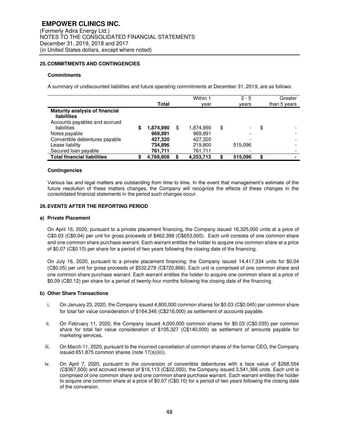#### **25. COMMITMENTS AND CONTINGENCIES**

#### **Commitments**

A summary of undiscounted liabilities and future operating commitments at December 31, 2019, are as follows:

|                                                      | Total     |    | Within 1<br>year | $2 - 5$<br>vears | Greater<br>than 5 years        |
|------------------------------------------------------|-----------|----|------------------|------------------|--------------------------------|
| <b>Maturity analysis of financial</b><br>liabilities |           |    |                  |                  |                                |
| Accounts payables and accrued<br>liabilities         | 1,874,990 | \$ | 1,874,990        | \$               | \$                             |
| Notes payable                                        | 969.891   |    | 969,891          |                  |                                |
| Convertible debentures payable                       | 427,320   |    | 427,320          |                  |                                |
| Lease liability                                      | 734,896   |    | 219,800          | 515.096          |                                |
| Secured loan payable                                 | 761,711   |    | 761,711          |                  |                                |
| <b>Total financial liabilities</b>                   | 4,768,808 | S  | 4,253,712        | 515,096          | \$<br>$\overline{\phantom{0}}$ |

#### **Contingencies**

Various tax and legal matters are outstanding from time to time. In the event that management's estimate of the future resolution of these matters changes, the Company will recognize the effects of these changes in the consolidated financial statements in the period such changes occur.

#### **26. EVENTS AFTER THE REPORTING PERIOD**

#### **a) Private Placement**

On April 16, 2020, pursuant to a private placement financing, the Company issued 16,325,000 units at a price of C\$0.03 (C\$0.04) per unit for gross proceeds of \$462,399 (C\$653,000). Each unit consists of one common share and one common share purchase warrant. Each warrant entitles the holder to acquire one common share at a price of \$0.07 (C\$0.10) per share for a period of two years following the closing date of the financing.

On July 16, 2020, pursuant to a private placement financing, the Company issued 14,417,334 units for \$0.04 (C\$0.05) per unit for gross proceeds of \$532,279 (C\$720,866). Each unit is comprised of one common share and one common share purchase warrant. Each warrant entitles the holder to acquire one common share at a price of \$0.09 (C\$0.12) per share for a period of twenty-four months following the closing date of the financing.

#### **b) Other Share Transactions**

- i. On January 23, 2020, the Company issued 4,800,000 common shares for \$0.03 (C\$0.045) per common share for total fair value consideration of \$164,346 (C\$216,000) as settlement of accounts payable.
- ii. On February 11, 2020, the Company issued 4,000,000 common shares for \$0.03 (C\$0.035) per common share for total fair value consideration of \$105,327 (C\$140,000) as settlement of amounts payable for marketing services.
- iii. On March 11, 2020, pursuant to the incorrect cancellation of common shares of the former CEO, the Company issued 651,875 common shares (note 17(a)(iii)).
- iv. On April 7, 2020, pursuant to the conversion of convertible debentures with a face value of \$268,554 (C\$367,500) and accrued interest of \$16,113 (C\$22,050), the Company issued 3,541,366 units. Each unit is comprised of one common share and one common share purchase warrant. Each warrant entitles the holder to acquire one common share at a price of \$0.07 (C\$0.10) for a period of two years following the closing date of the conversion.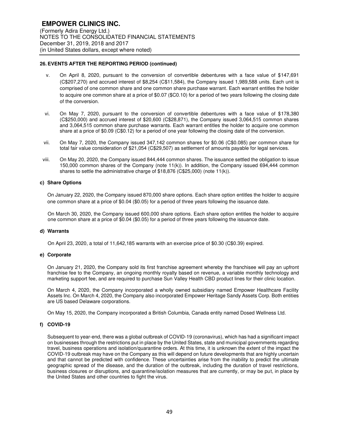## **26. EVENTS AFTER THE REPORTING PERIOD (continued)**

- v. On April 8, 2020, pursuant to the conversion of convertible debentures with a face value of \$147,691 (C\$207,270) and accrued interest of \$8,254 (C\$11,584), the Company issued 1,989,588 units. Each unit is comprised of one common share and one common share purchase warrant. Each warrant entitles the holder to acquire one common share at a price of \$0.07 (\$C0.10) for a period of two years following the closing date of the conversion.
- vi. On May 7, 2020, pursuant to the conversion of convertible debentures with a face value of \$178,380 (C\$250,000) and accrued interest of \$20,600 (C\$28,871), the Company issued 3,064,515 common shares and 3,064,515 common share purchase warrants. Each warrant entitles the holder to acquire one common share at a price of \$0.09 (C\$0.12) for a period of one year following the closing date of the conversion.
- vii. On May 7, 2020, the Company issued 347,142 common shares for \$0.06 (C\$0.085) per common share for total fair value consideration of \$21,054 (C\$29,507) as settlement of amounts payable for legal services.
- viii. On May 20, 2020, the Company issued 844,444 common shares. The issuance settled the obligation to issue 150,000 common shares of the Company (note 11(k)). In addition, the Company issued 694,444 common shares to settle the administrative charge of \$18,876 (C\$25,000) (note 11(k)).

#### **c) Share Options**

On January 22, 2020, the Company issued 870,000 share options. Each share option entitles the holder to acquire one common share at a price of \$0.04 (\$0.05) for a period of three years following the issuance date.

On March 30, 2020, the Company issued 600,000 share options. Each share option entitles the holder to acquire one common share at a price of \$0.04 (\$0.05) for a period of three years following the issuance date.

#### **d) Warrants**

On April 23, 2020, a total of 11,642,185 warrants with an exercise price of \$0.30 (C\$0.39) expired.

#### **e) Corporate**

On January 21, 2020, the Company sold its first franchise agreement whereby the franchisee will pay an upfront franchise fee to the Company, an ongoing monthly royalty based on revenue, a variable monthly technology and marketing support fee, and are required to purchase Sun Valley Health CBD product lines for their clinic location.

On March 4, 2020, the Company incorporated a wholly owned subsidiary named Empower Healthcare Facility Assets Inc. On March 4, 2020, the Company also incorporated Empower Heritage Sandy Assets Corp. Both entities are US based Delaware corporations.

On May 15, 2020, the Company incorporated a British Columbia, Canada entity named Dosed Wellness Ltd.

#### **f) COVID-19**

Subsequent to year-end, there was a global outbreak of COVID-19 (coronavirus), which has had a significant impact on businesses through the restrictions put in place by the United States, state and municipal governments regarding travel, business operations and isolation/quarantine orders. At this time, it is unknown the extent of the impact the COVID-19 outbreak may have on the Company as this will depend on future developments that are highly uncertain and that cannot be predicted with confidence. These uncertainties arise from the inability to predict the ultimate geographic spread of the disease, and the duration of the outbreak, including the duration of travel restrictions, business closures or disruptions, and quarantine/isolation measures that are currently, or may be put, in place by the United States and other countries to fight the virus.